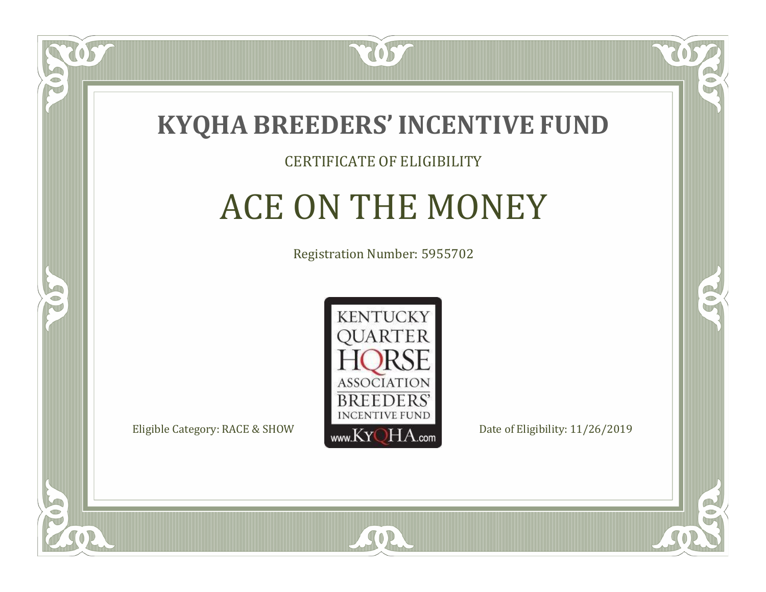

#### CERTIFICATE OF ELIGIBILITY

# ACE ON THE MONEY

Registration Number: 5955702



 $SO2$ 

CO.

B

 $\Box$ N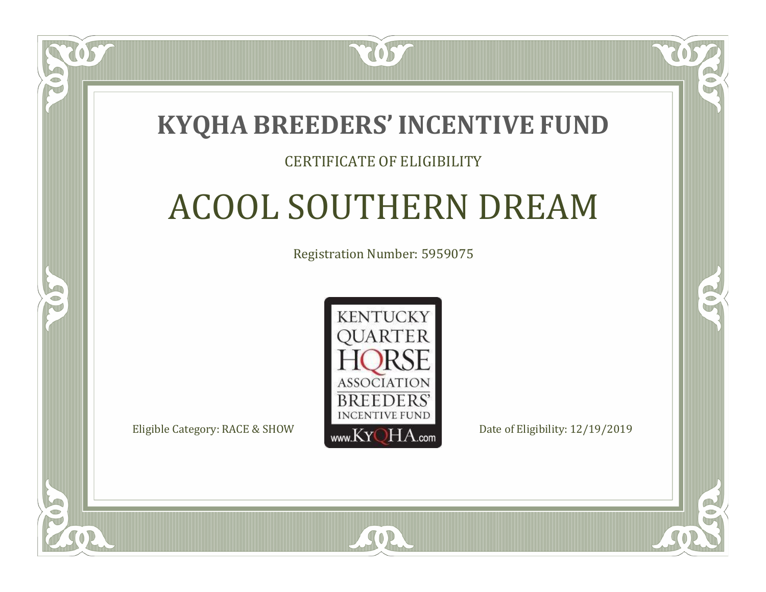### **KYQHA BREEDERS'INCENTIVE FUND**

7057

### CERTIFICATE OF ELIGIBILITY

# ACOOL SOUTHERN DREAM

Registration Number: 5959075



SOR

 $\mathbb{R}^2$ 

CO.

 $\Box$ T

S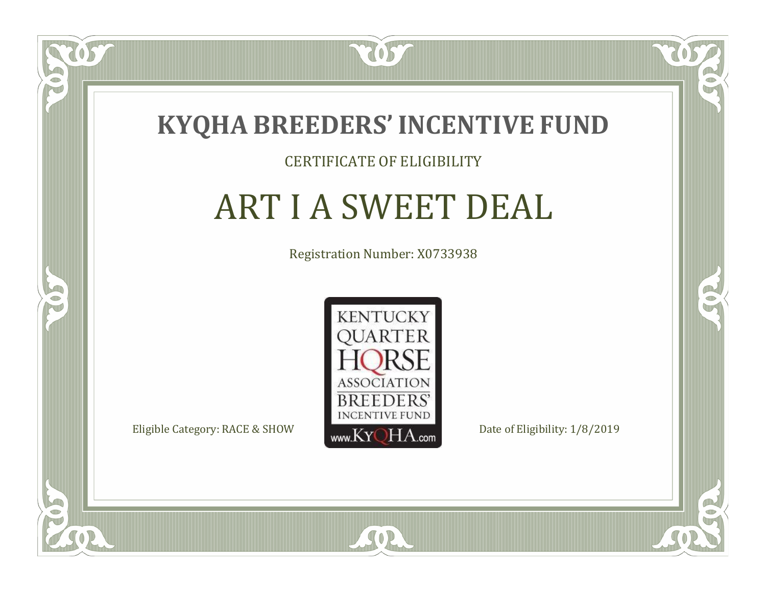

#### CERTIFICATE OF ELIGIBILITY

# ART I A SWEET DEAL

Registration Number: X0733938



SOR

CO.

 $\rightarrow$ 

 $\Box$ N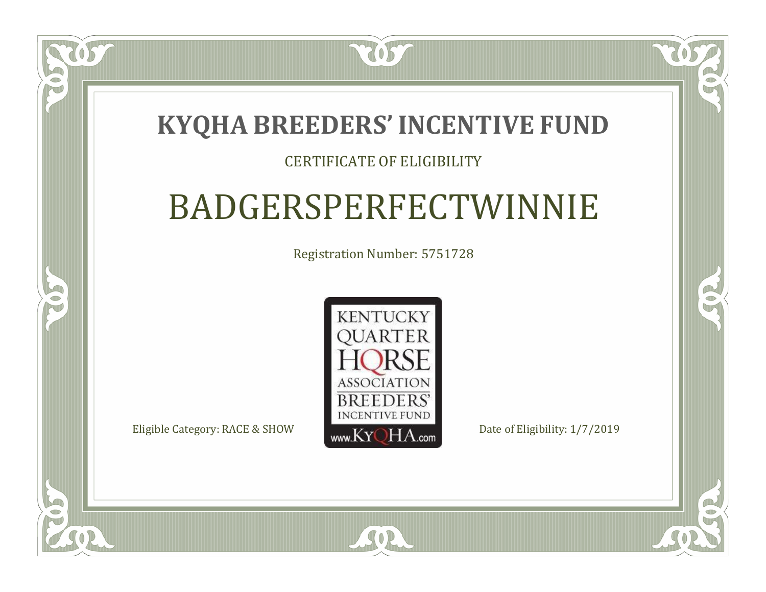### **KYQHA BREEDERS'INCENTIVE FUND**

7057

### CERTIFICATE OF ELIGIBILITY

# BADGERSPERFECTWINNIE

Registration Number: 5751728



SOR

CO.

 $\rightarrow$ 

 $\Box$ N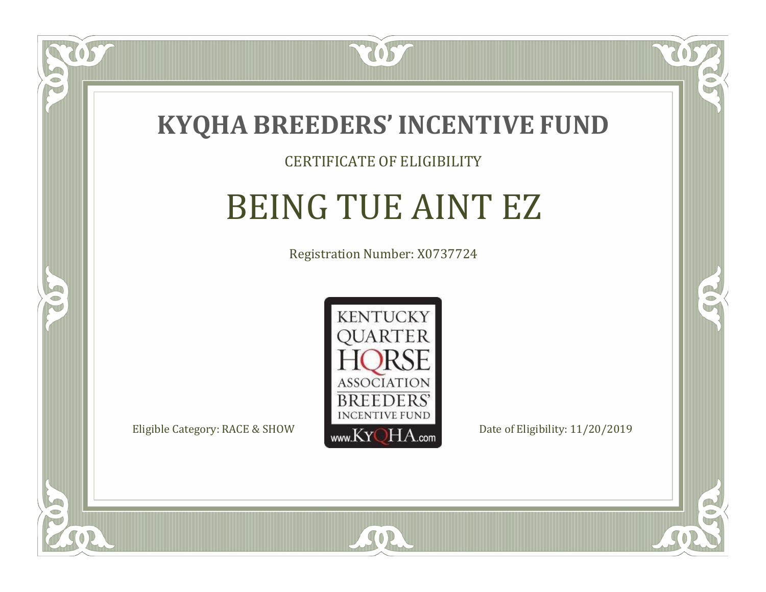

#### CERTIFICATE OF ELIGIBILITY

# BEING TUE AINT EZ

Registration Number: X0737724



SOR

RO

B

 $\Box$ N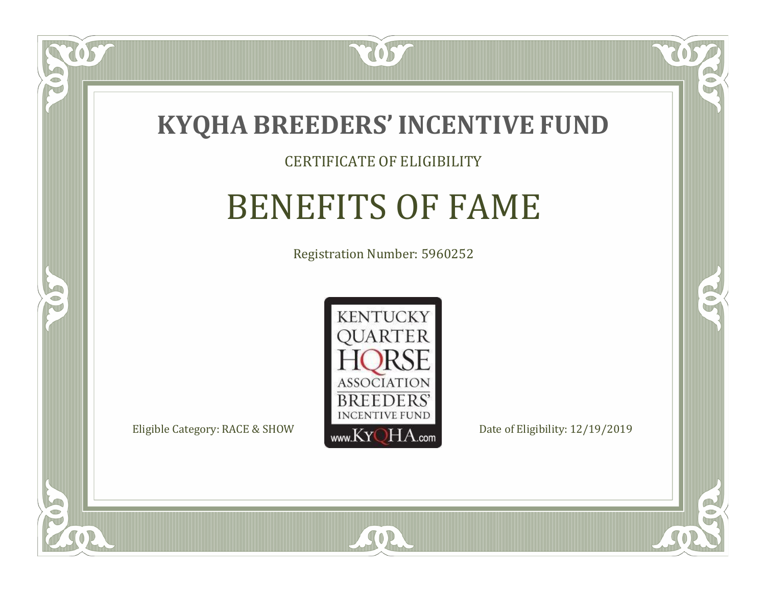

#### CERTIFICATE OF ELIGIBILITY

# BENEFITS OF FAME

Registration Number: 5960252



 $SO2$ 

CO.

 $\rightarrow$ 

 $\Box$ NU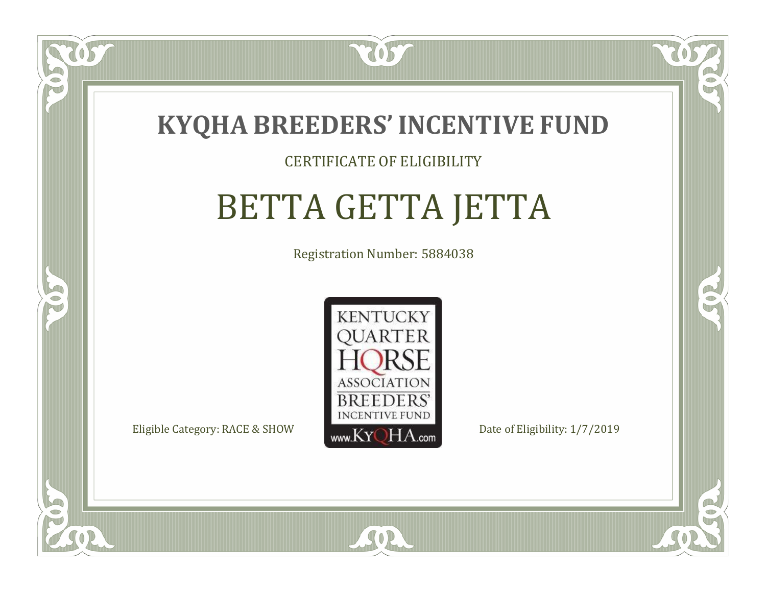

### CERTIFICATE OF ELIGIBILITY

# BETTA GETTA JETTA

Registration Number: 5884038



SOR

RO

CO.

 $\Box$ N

S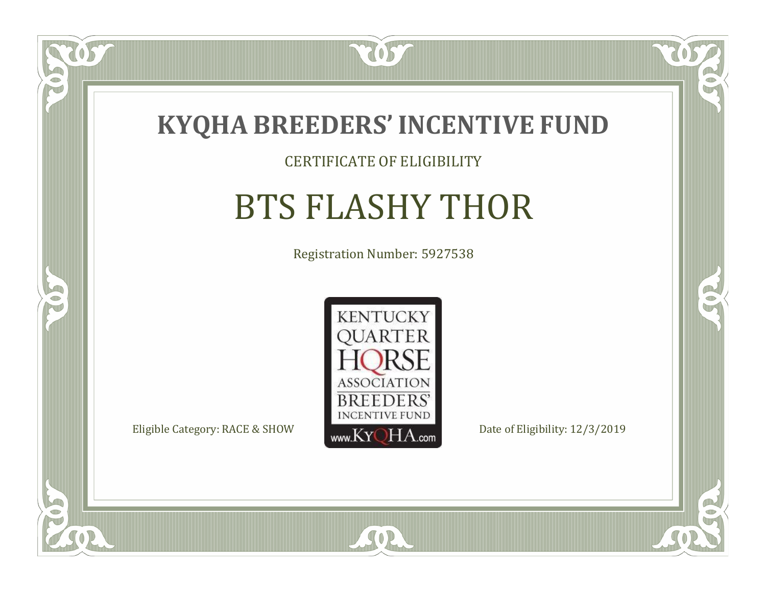

### CERTIFICATE OF ELIGIBILITY

# BTS FLASHY THOR

Registration Number: 5927538



SOR

CO.

 $\rightarrow$ 

OS

 $\bullet$ NU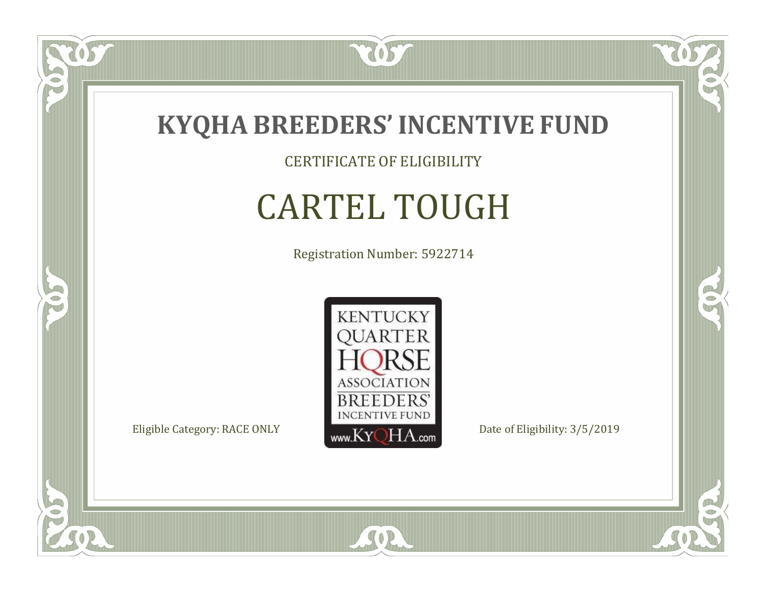

CERTIFICATE OF ELIGIBILITY

# CARTEL TOUGH

Registration Number: 5922714



SOR

CO.

 $\rightarrow$ 

057

 $\bullet$ NU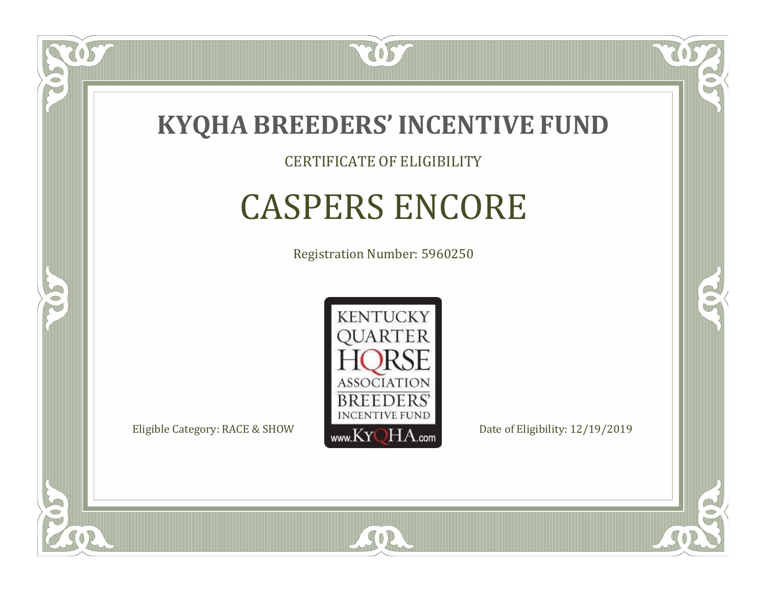

CERTIFICATE OF ELIGIBILITY

# CASPERS ENCORE

Registration Number: 5960250



SOR

RO

B

 $\Box$ N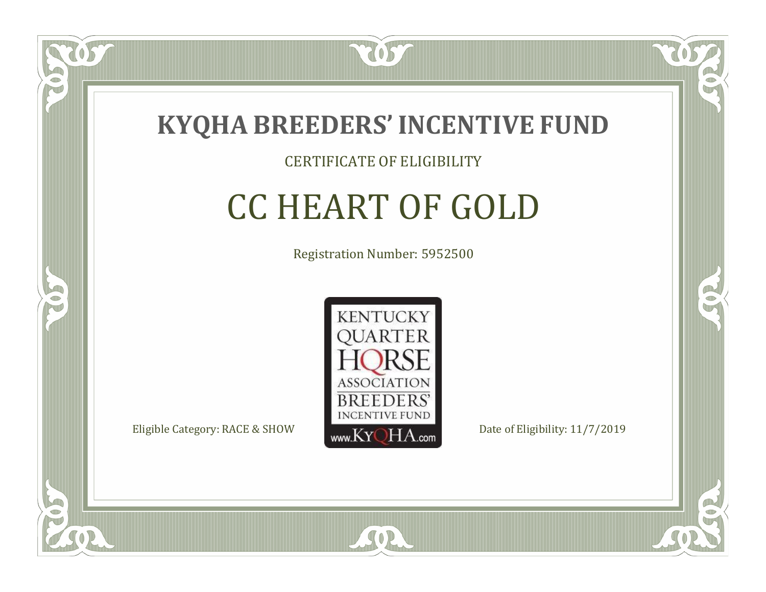

 $\Box$ N

5

### CERTIFICATE OF ELIGIBILITY

# CC HEART OF GOLD

Registration Number: 5952500



 $SO<sub>2</sub>$ 

RO

CO.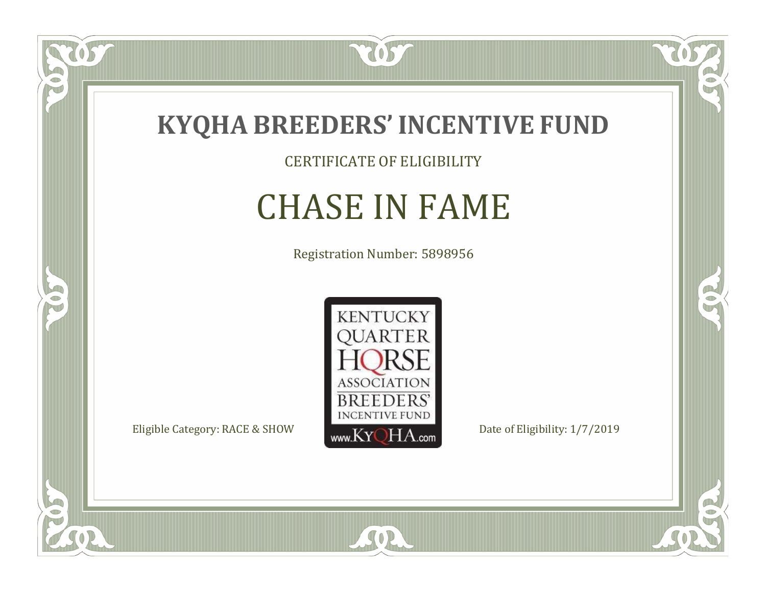

CERTIFICATE OF ELIGIBILITY

# CHASE IN FAME

Registration Number: 5898956



SOR

CO.

 $\rightarrow$ 

057

 $\bullet$ NU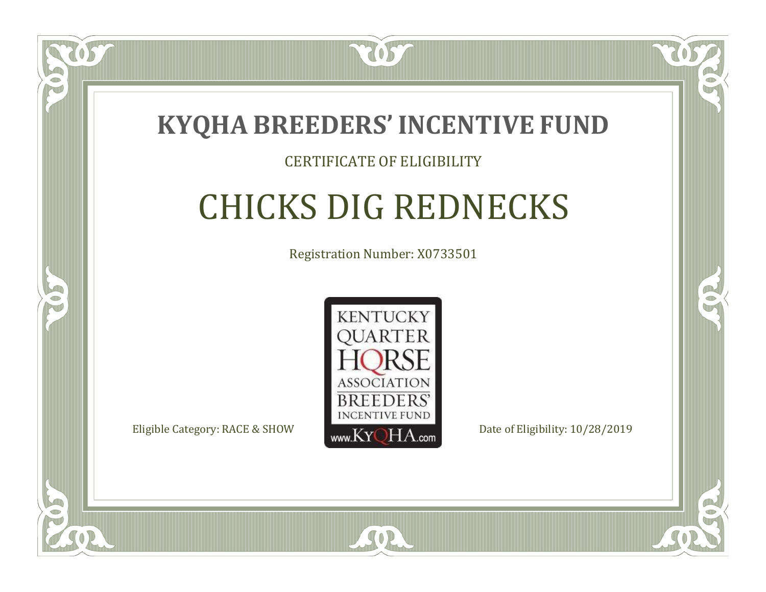

### CERTIFICATE OF ELIGIBILITY

# CHICKS DIG REDNECKS

Registration Number: X0733501



 $SO<sub>2</sub>$ 

RO

P.

 $\Box$ T

S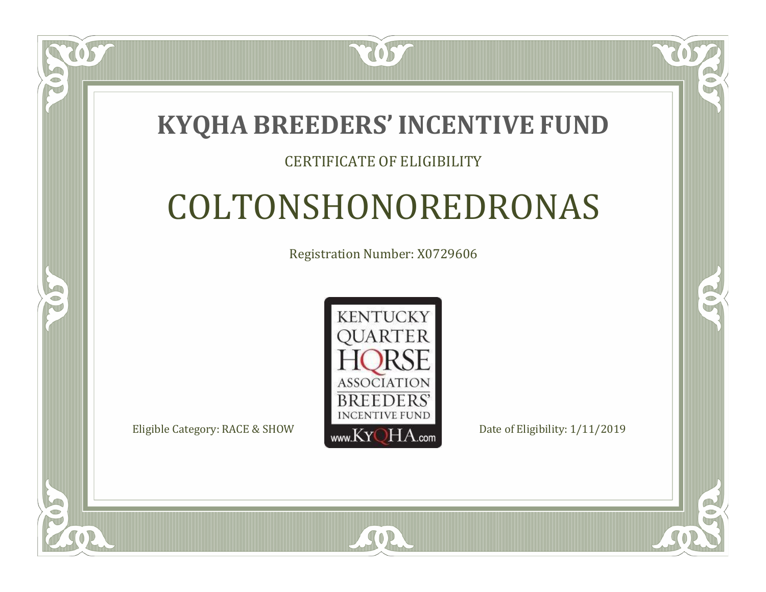### **KYQHA BREEDERS'INCENTIVE FUND**

7057

### CERTIFICATE OF ELIGIBILITY

# COLTONSHONOREDRONAS

Registration Number: X0729606



SOR

RO

CO.

 $\Box$ T

S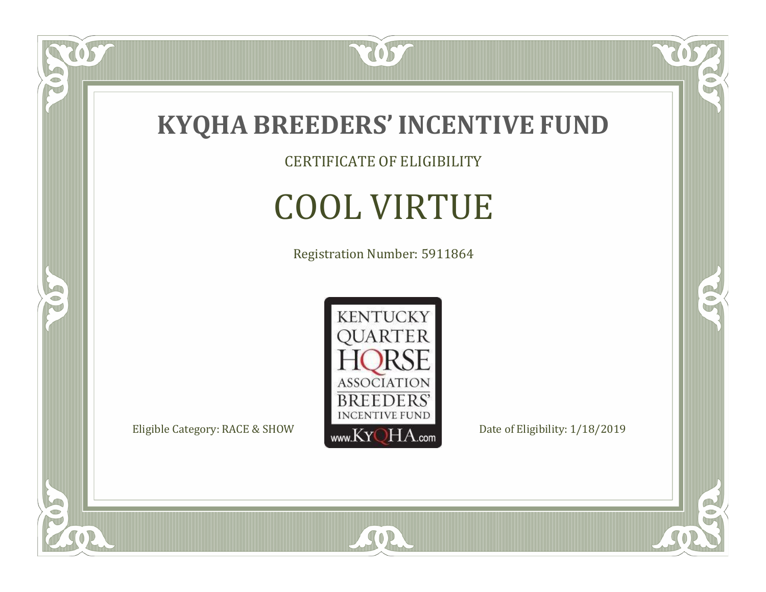

tos

 $\bullet$ N

5

CERTIFICATE OF ELIGIBILITY

# COOL VIRTUE

Registration Number: 5911864



SOR

 $\mathbb{R}$ 

 $\rightarrow$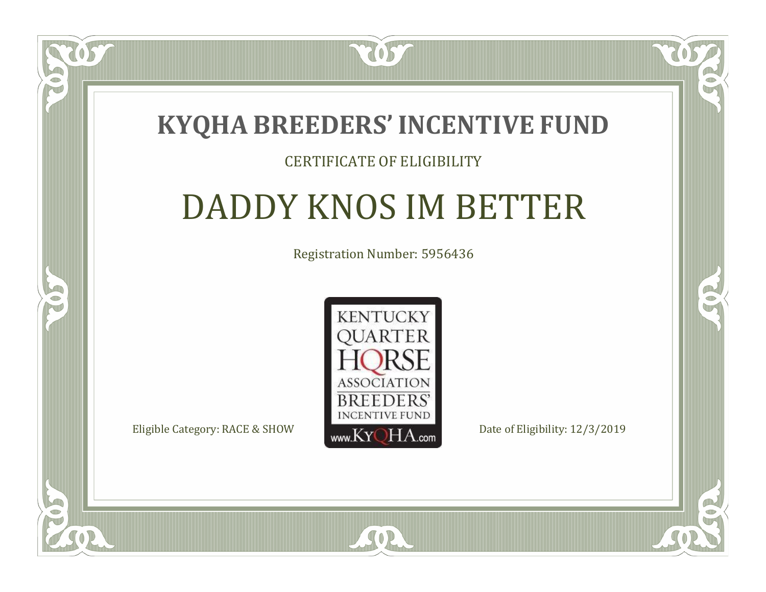

### CERTIFICATE OF ELIGIBILITY

# DADDY KNOS IM BETTER

Registration Number: 5956436



SOR

CO.

 $\rightarrow$ 

 $\Box$ N

S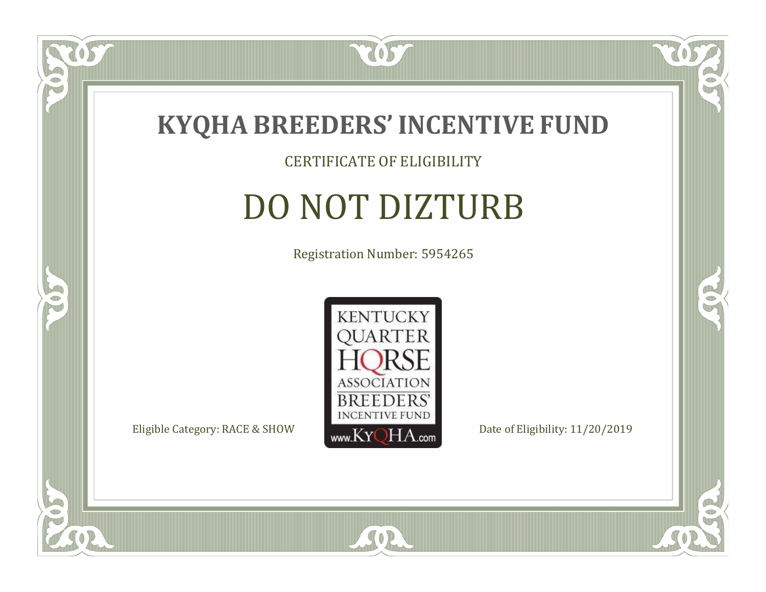

### CERTIFICATE OF ELIGIBILITY

# DO NOT DIZTURB

Registration Number: 5954265



SOR

CO.

 $\rightarrow$ 

 $\delta S$ 

 $\Box$ NU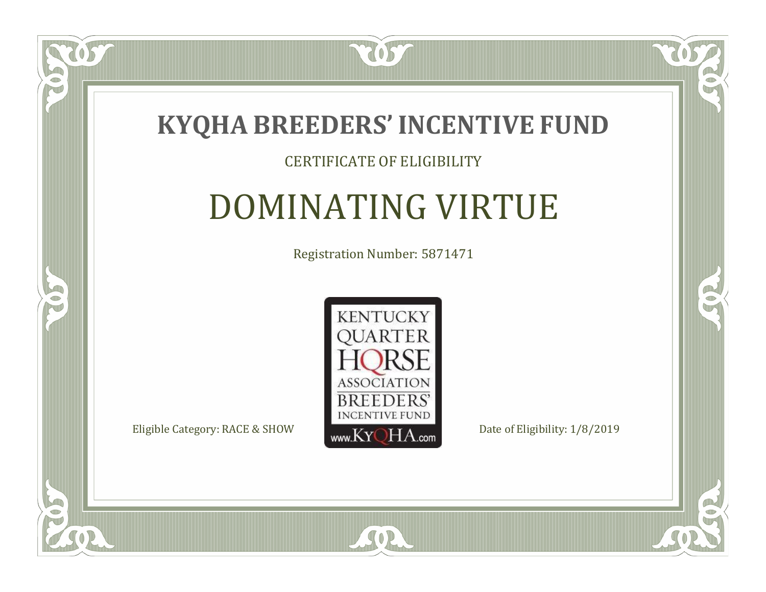

#### CERTIFICATE OF ELIGIBILITY

# DOMINATING VIRTUE

Registration Number: 5871471



 $SO2$ 

CO.

 $\rightarrow$ 

ULLE

 $\Box$ NU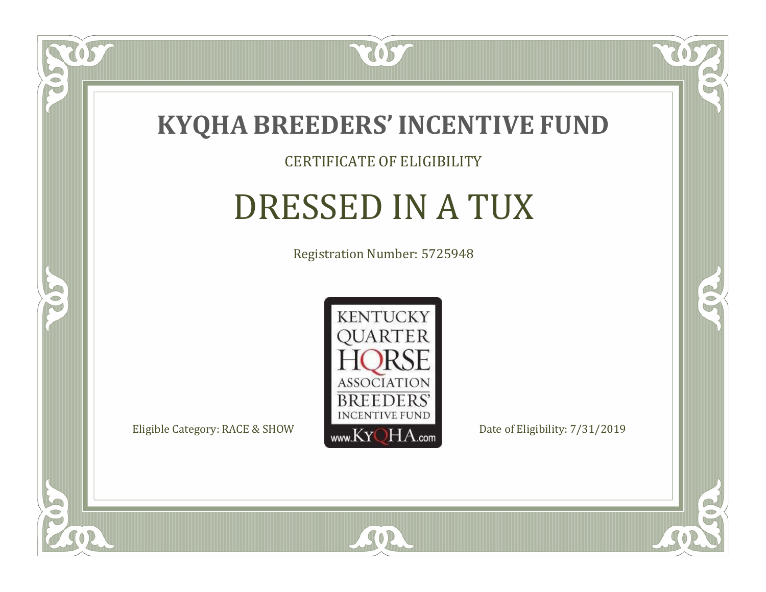

### CERTIFICATE OF ELIGIBILITY

# DRESSED IN A TUX

Registration Number: 5725948



SOR

RO

B

 $\Box$ NU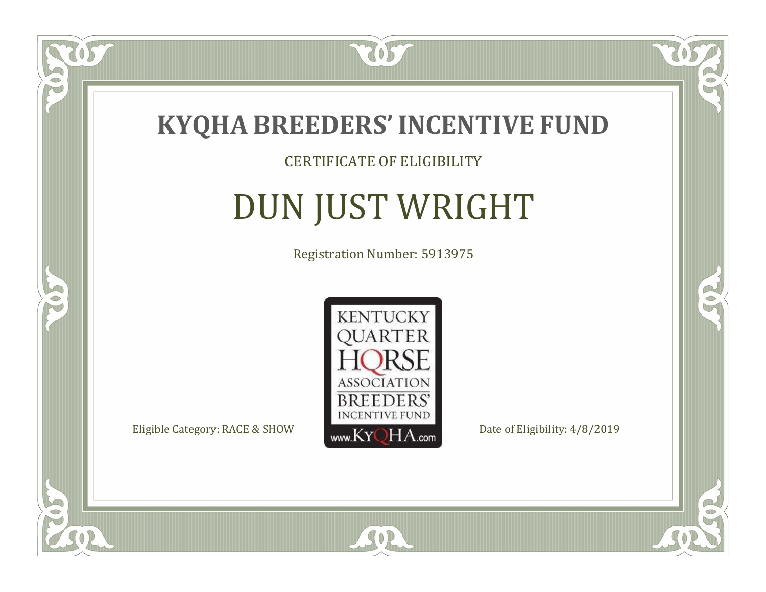

### CERTIFICATE OF ELIGIBILITY

# DUN JUST WRIGHT

Registration Number: 5913975



SOR

CO.

 $\rightarrow$ 

 $\delta S$ 

 $\Box$ NU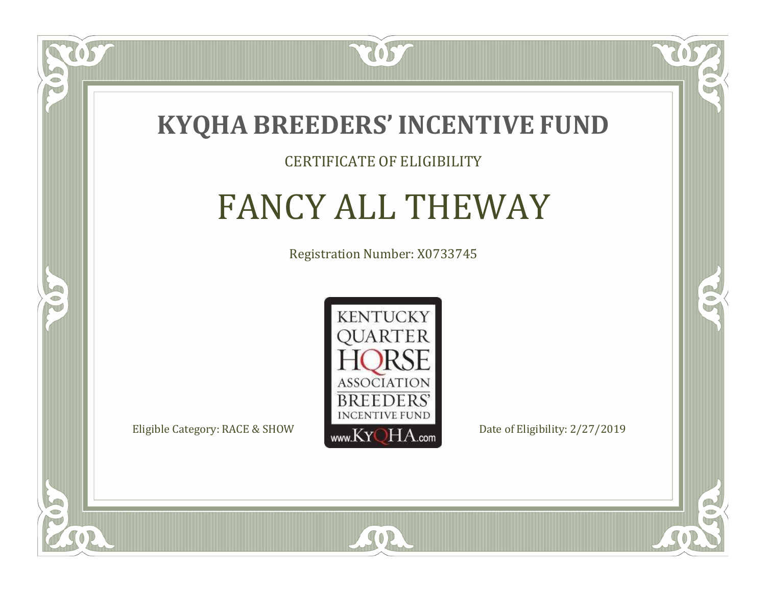

#### CERTIFICATE OF ELIGIBILITY

### FANCY ALL THEWAY

Registration Number: X0733745



SOR

CO.

 $\rightarrow$ 

ULLE

 $\Box$ N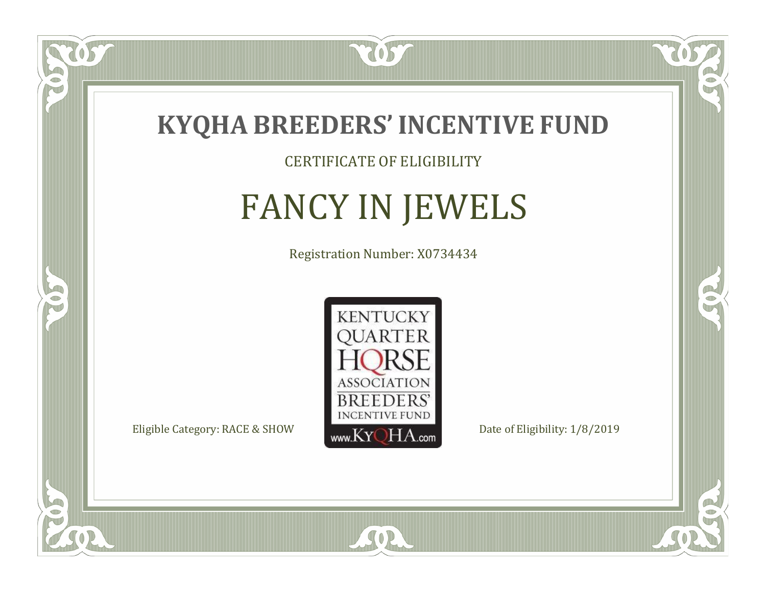

### CERTIFICATE OF ELIGIBILITY

# FANCY IN JEWELS

Registration Number: X0734434



SOR

RO

B

 $\Box$ N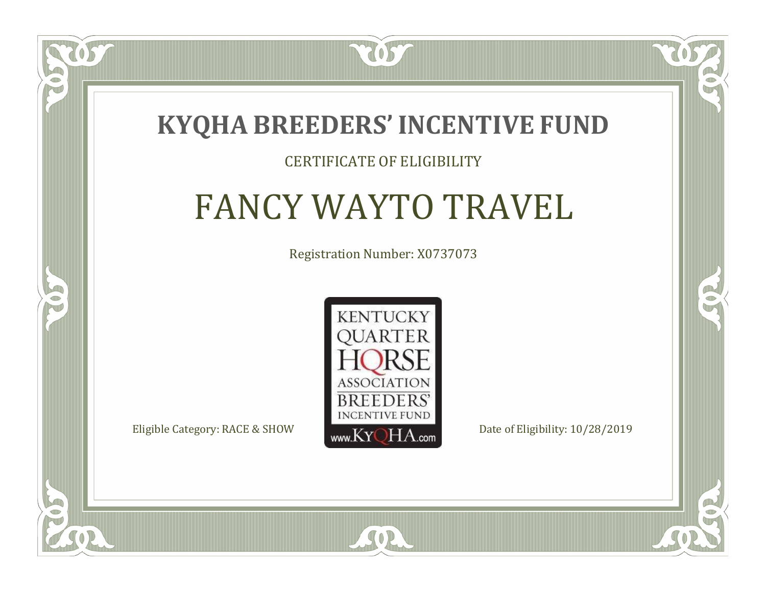

#### CERTIFICATE OF ELIGIBILITY

# FANCY WAYTO TRAVEL

Registration Number: X0737073



SOR

CO.

 $\rightarrow$ 

 $\Box$ T

S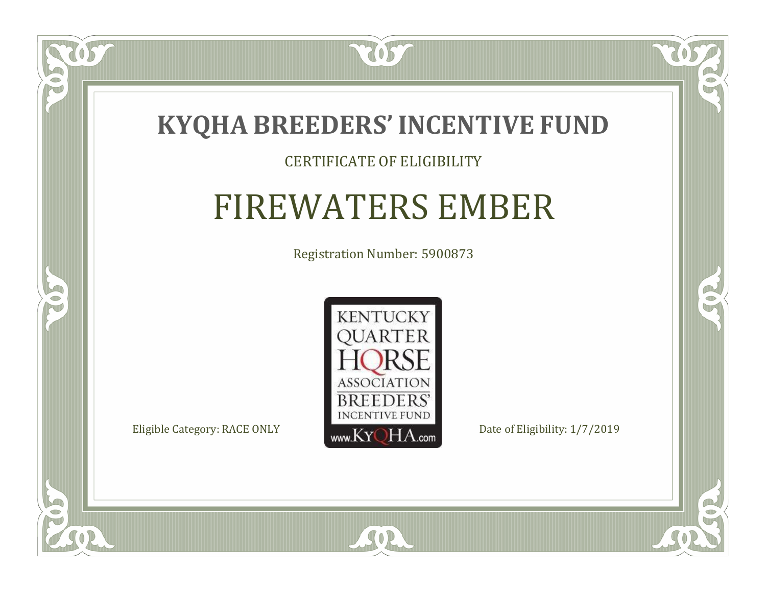

### CERTIFICATE OF ELIGIBILITY

# FIREWATERS EMBER

Registration Number: 5900873



SOR

CO.

 $\rightarrow$ 

 $\delta S$ 

 $\bullet$ NU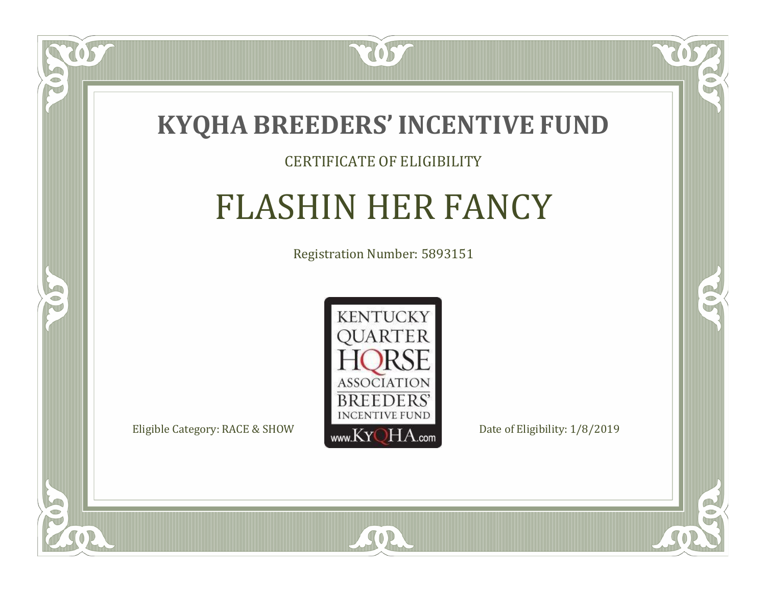

### CERTIFICATE OF ELIGIBILITY

# FLASHIN HER FANCY

Registration Number: 5893151



SOR

CO.

 $\rightarrow$ 

 $\delta S$ 

 $\Box$ N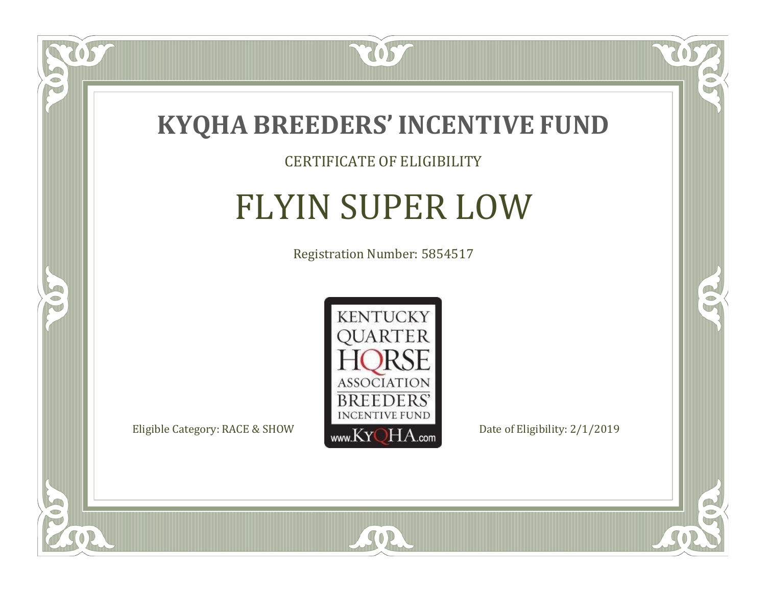

### CERTIFICATE OF ELIGIBILITY

# FLYIN SUPER LOW

Registration Number: 5854517



SOR

 $\mathbb{R}$ 

 $\rightarrow$ 

OST

 $\bullet$ NU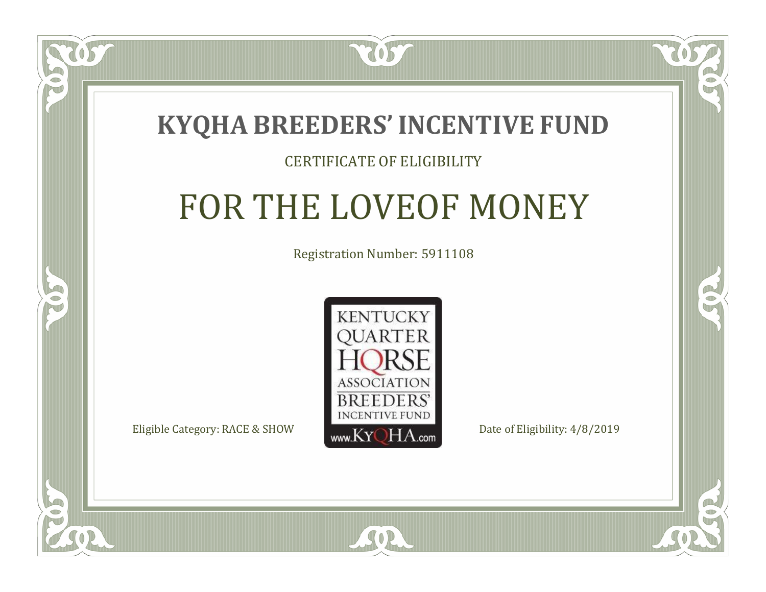

#### CERTIFICATE OF ELIGIBILITY

## FOR THE LOVEOF MONEY

Registration Number: 5911108



 $SO2$ 

CO.

B)

 $\Box$ N

S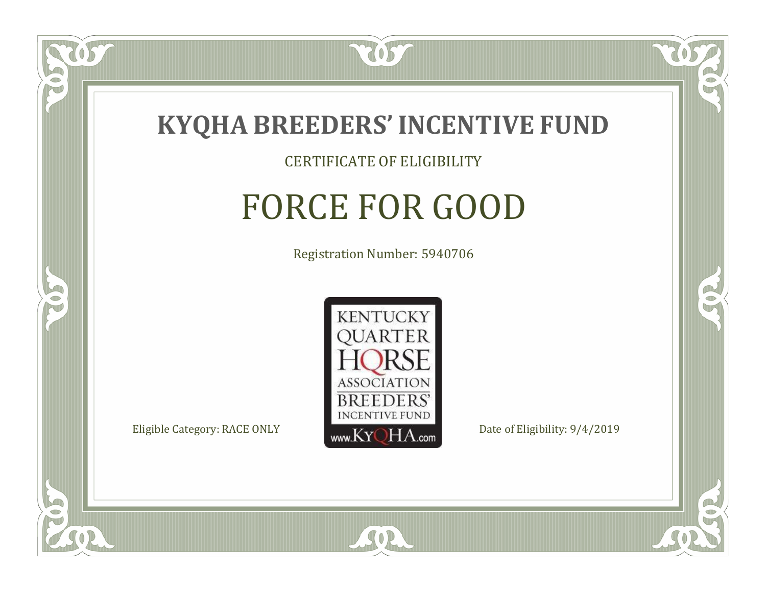

### CERTIFICATE OF ELIGIBILITY

# FORCE FOR GOOD

Registration Number: 5940706



SOR

CO.

B)

 $\widetilde{\mathfrak{S}}$ 

 $\Box$ NU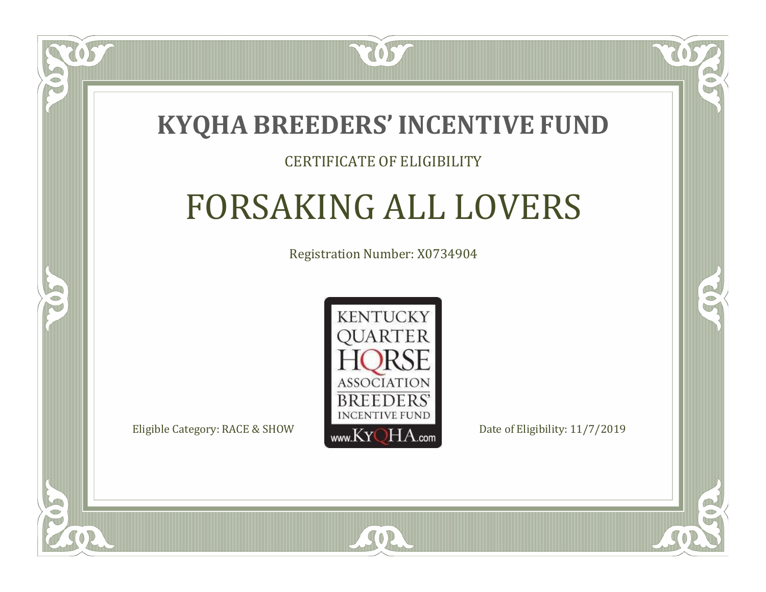

 $\Box$ N

S

### CERTIFICATE OF ELIGIBILITY

# FORSAKING ALL LOVERS

Registration Number: X0734904



SOR

RO

P.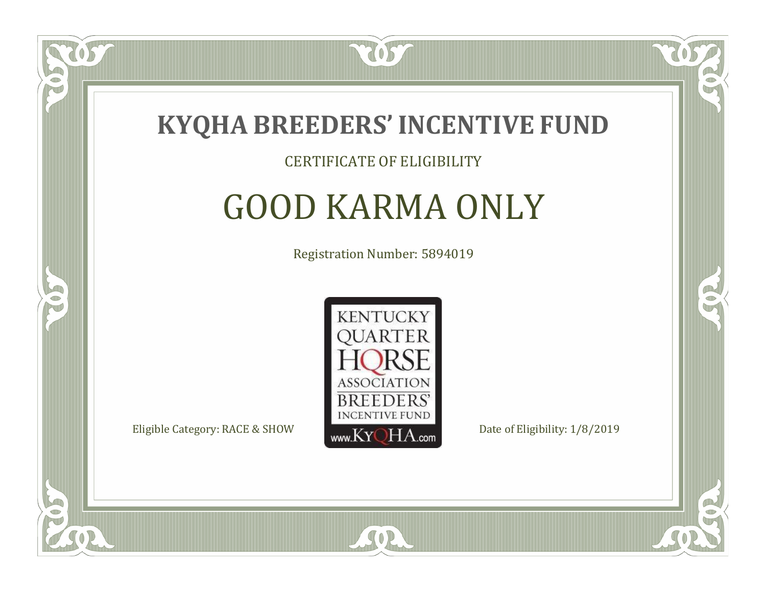

#### CERTIFICATE OF ELIGIBILITY

### GOOD KARMA ONLY

Registration Number: 5894019



SOR

CO.

B)

 $\Box$ N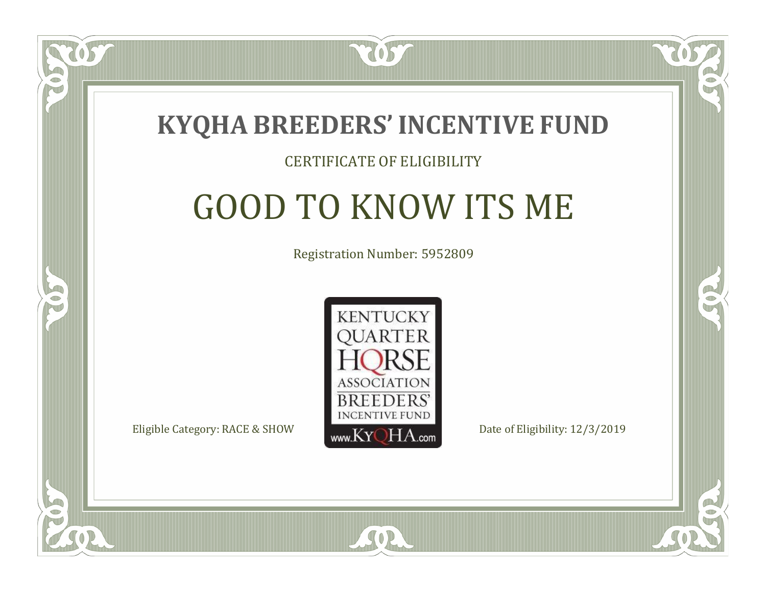

#### CERTIFICATE OF ELIGIBILITY

# GOOD TO KNOW ITS ME

Registration Number: 5952809



SOR

CO.

P.

 $\Box$ N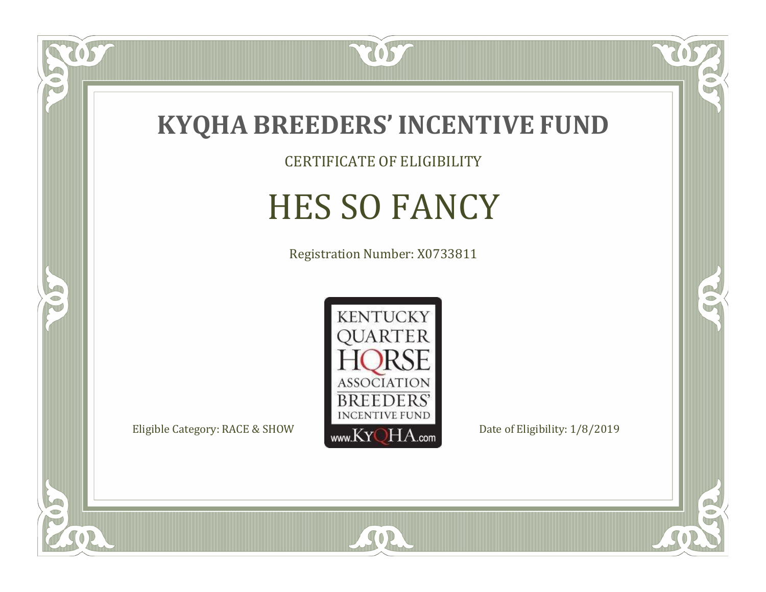

CERTIFICATE OF ELIGIBILITY

# HES SO FANCY

Registration Number: X0733811



SOR

CO.

 $\rightarrow$ 

US

 $\bullet$ NU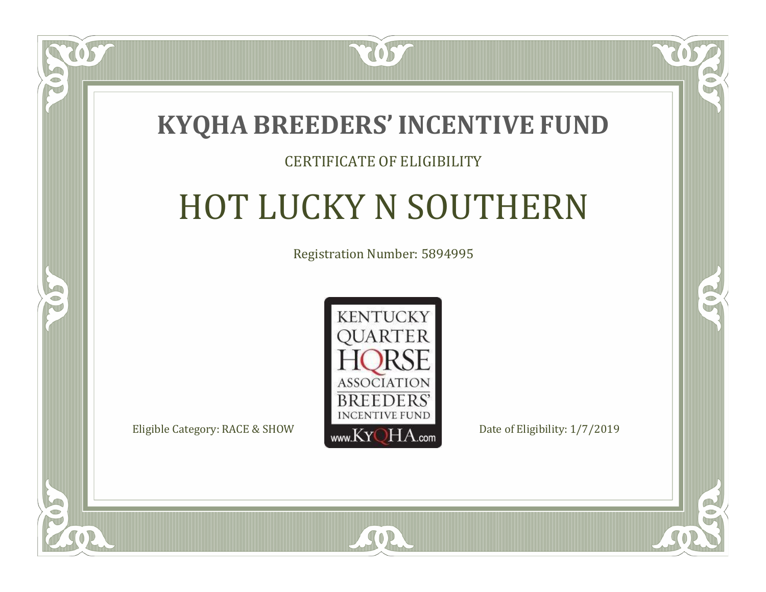

#### CERTIFICATE OF ELIGIBILITY

# HOT LUCKY N SOUTHERN

Registration Number: 5894995



SOR

CO.

 $\rightarrow$ 

 $\blacksquare$ N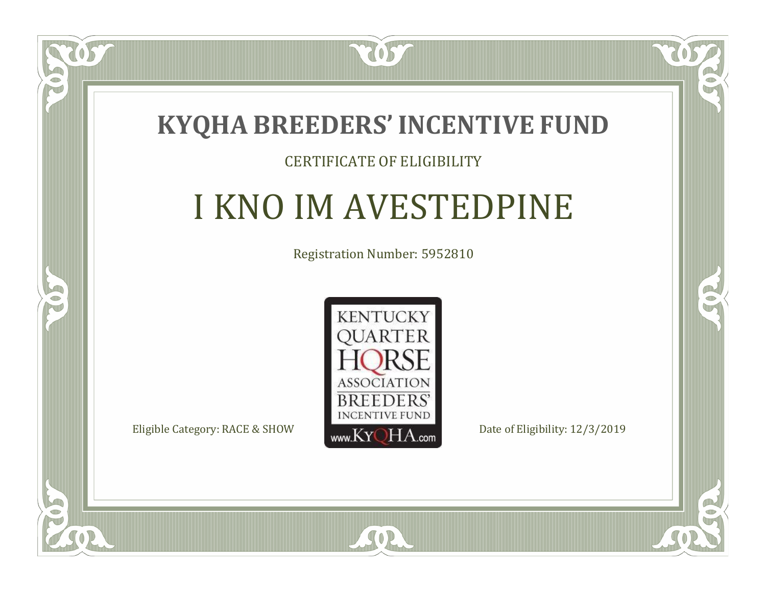

### CERTIFICATE OF ELIGIBILITY

# I KNO IM AVESTEDPINE

Registration Number: 5952810



 $SO2$ 

CO.

 $\rightarrow$ 

 $\Box$ N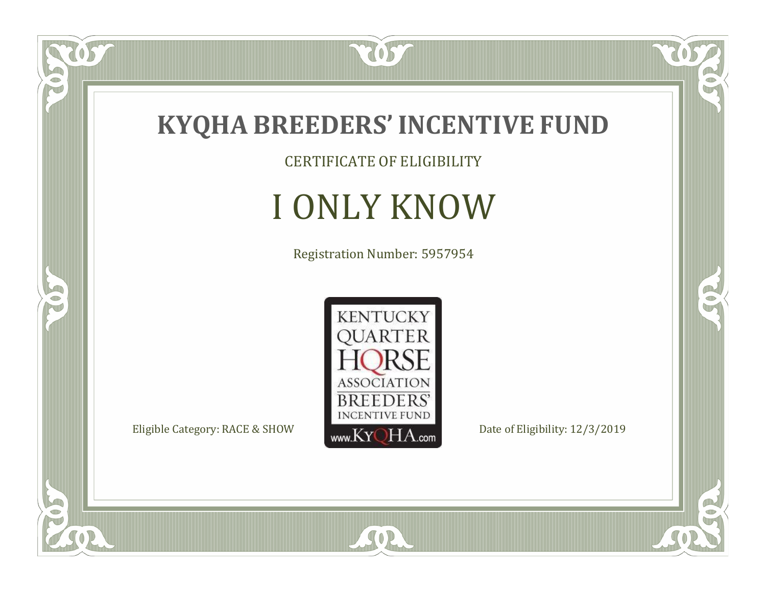

CERTIFICATE OF ELIGIBILITY

# I ONLY KNOW

Registration Number: 5957954



SOR

 $\mathbb{R}$ 

 $\mathbb{R}^2$ 

 $\overline{OS}$ 

 $\bullet$ N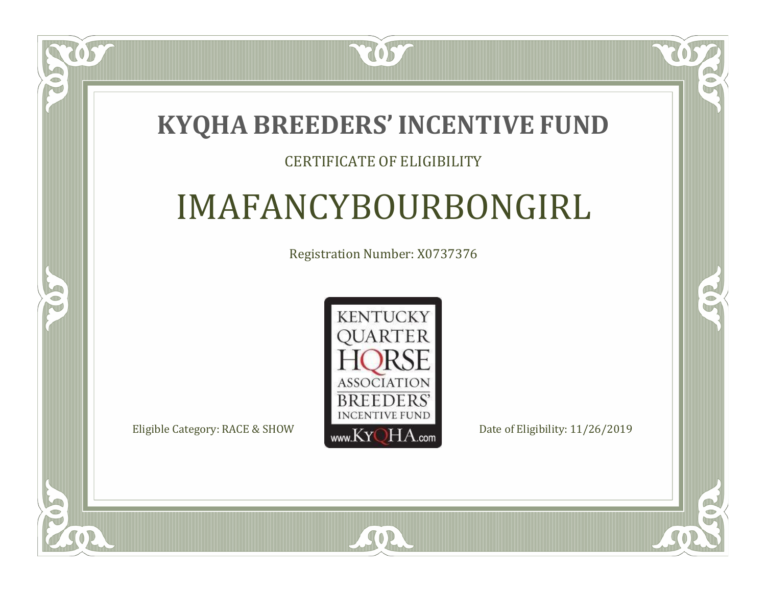### **KYQHA BREEDERS'INCENTIVE FUND**

7057

 $\Box$ T

S

### CERTIFICATE OF ELIGIBILITY

# IMAFANCYBOURBONGIRL

Registration Number: X0737376



SOR

RO

 $\rightarrow$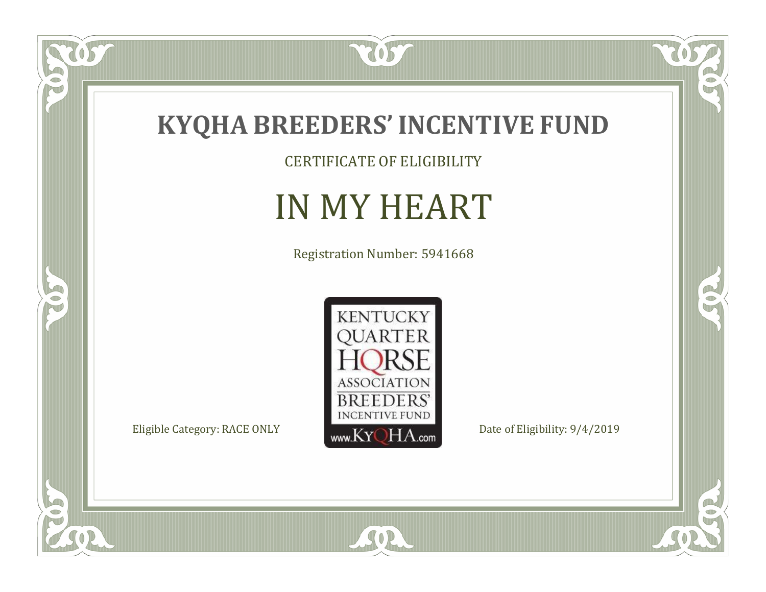

CERTIFICATE OF ELIGIBILITY

# IN MY HEART

Registration Number: 5941668



SOR

 $\mathbb{R}$ 

 $\mathbb{R}^2$ 

US.

 $\bullet$ N

5

 $\overline{\mathbb{C}}$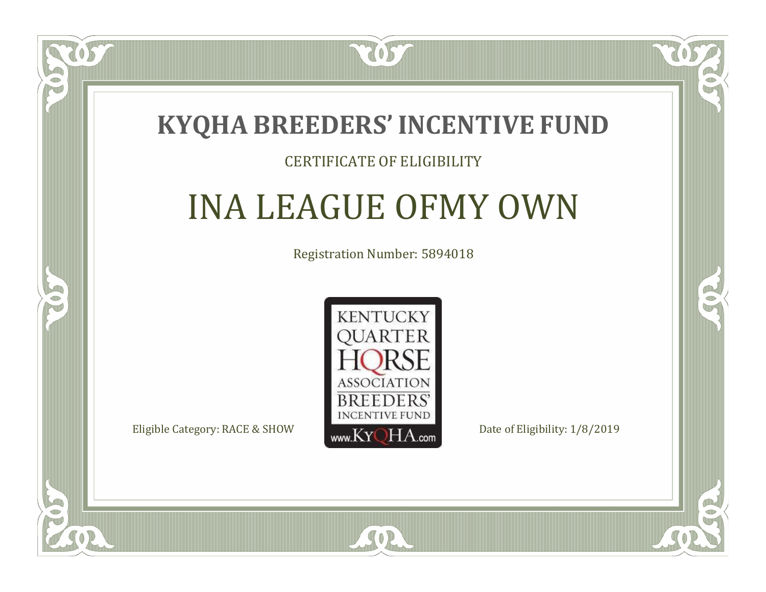### **KYQHA BREEDERS'INCENTIVE FUND**

7057

### CERTIFICATE OF ELIGIBILITY

# INA LEAGUE OFMY OWN

Registration Number: 5894018



SOR

CO.

 $\rightarrow$ 

 $\blacksquare$ N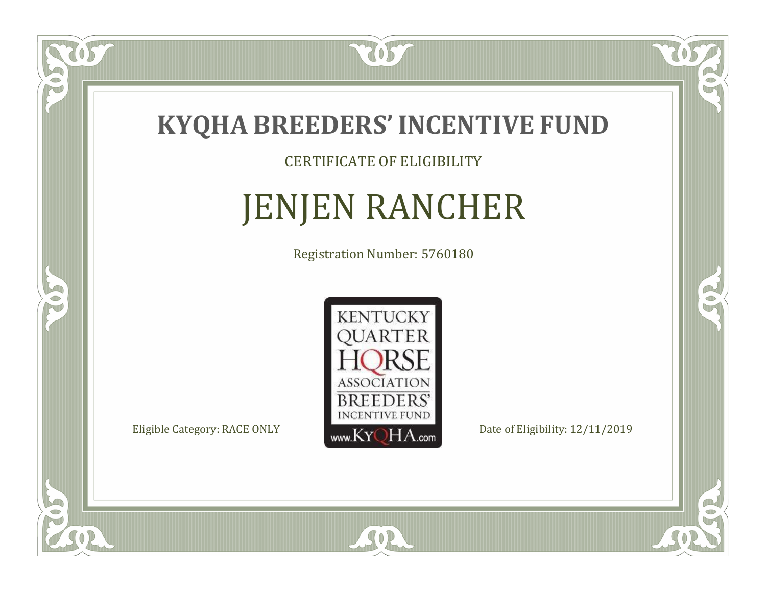

CERTIFICATE OF ELIGIBILITY

# JENJEN RANCHER

Registration Number: 5760180



SOR

 $\mathbb{R}$ 

 $\rightarrow$ 

 $\overline{OS}$ 

 $\bullet$ NU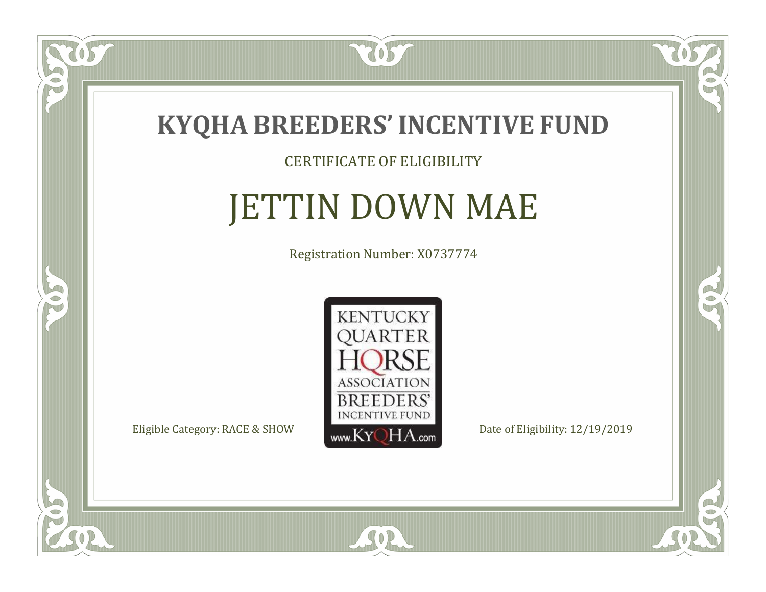

TOST

#### CERTIFICATE OF ELIGIBILITY

# JETTIN DOWN MAE

Registration Number: X0737774



SOR

CO.

 $\rightarrow$ 

US

 $\Box$ NU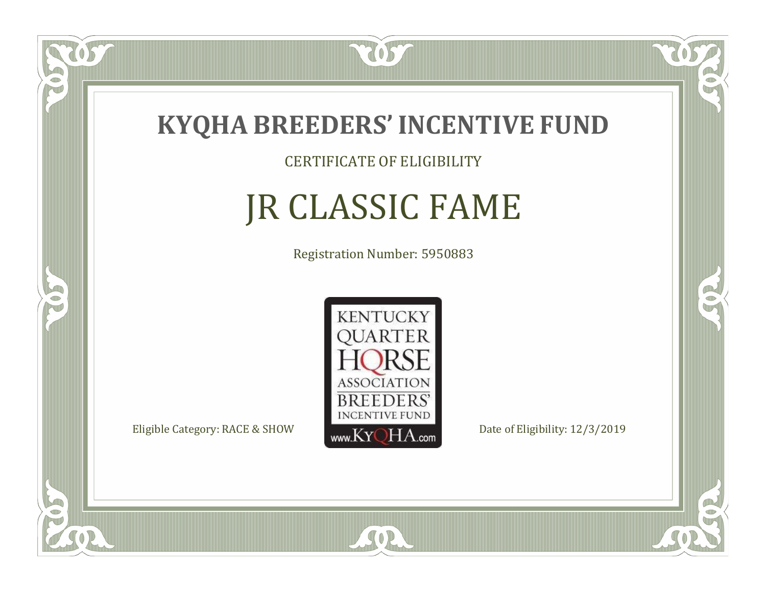

CERTIFICATE OF ELIGIBILITY

# JR CLASSIC FAME

Registration Number: 5950883



SOR

CO.

CO.

 $\Box$ N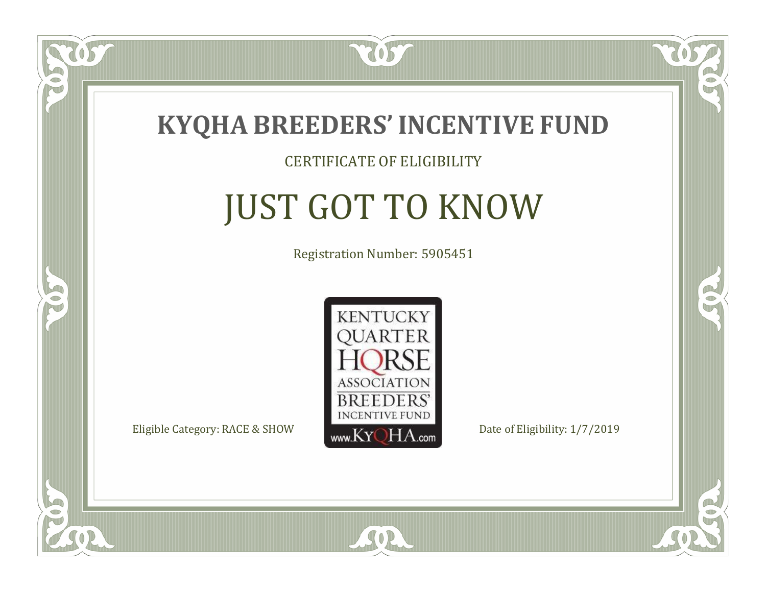

### CERTIFICATE OF ELIGIBILITY

# JUST GOT TO KNOW

Registration Number: 5905451



SOR

CO.

CO.

 $\blacksquare$ N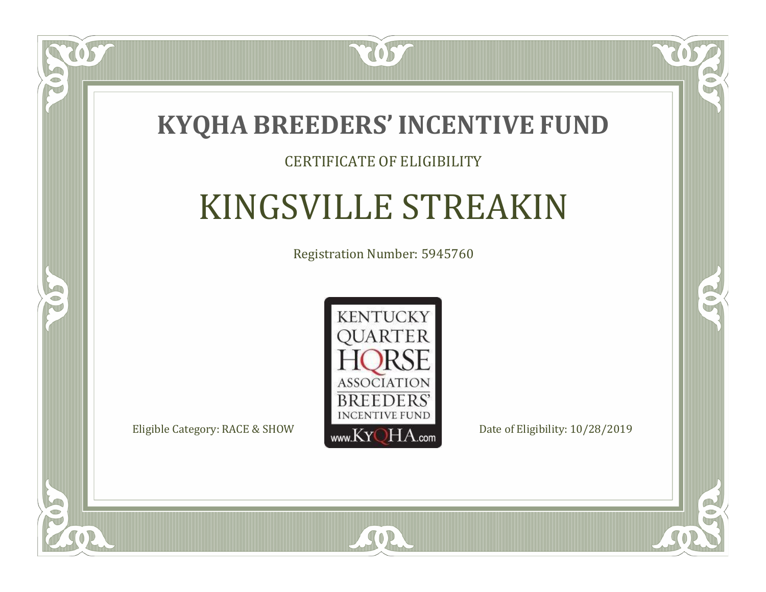

### CERTIFICATE OF ELIGIBILITY

# KINGSVILLE STREAKIN

Registration Number: 5945760



SOR

 $\mathbb{R}^2$ 

 $\rightarrow$ 

 $\Box$ N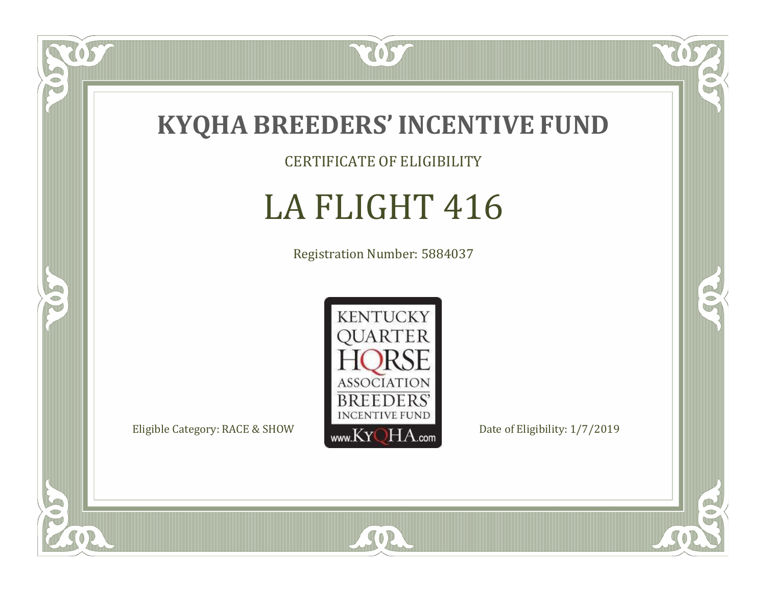

CERTIFICATE OF ELIGIBILITY

# LA FLIGHT 416

Registration Number: 5884037



SOR

CO.

 $\rightarrow$ 

 $\overline{OS}$ 

 $\bullet$ N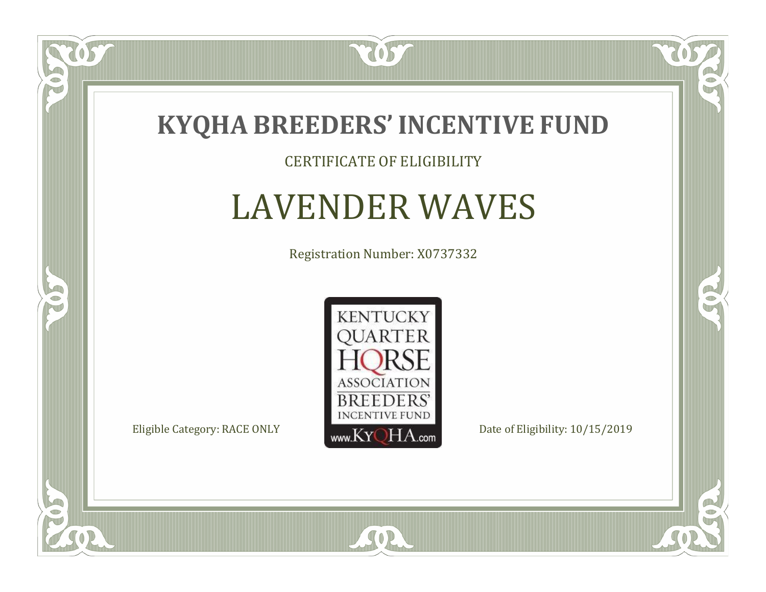

#### CERTIFICATE OF ELIGIBILITY

### LAVENDER WAVES

Registration Number: X0737332



SOR

 $\mathbb{R}$ 

 $\rightarrow$ 

US

 $\bullet$ NU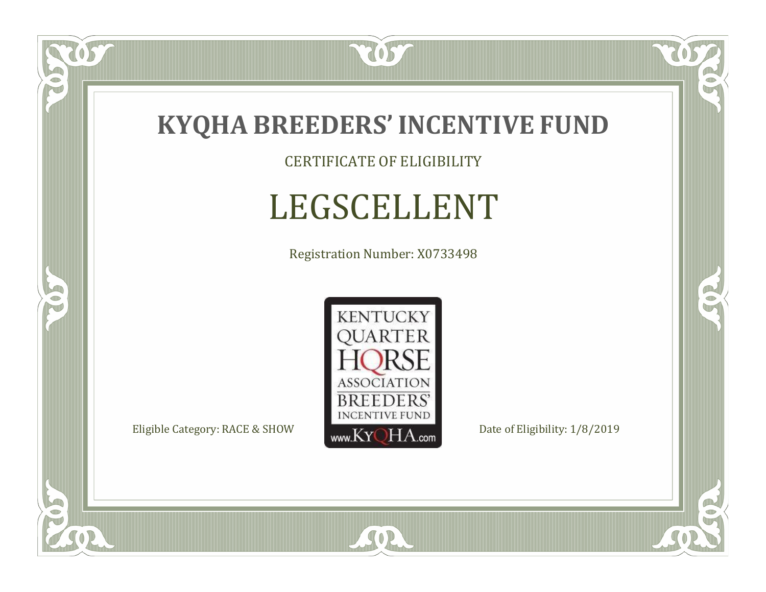

CERTIFICATE OF ELIGIBILITY

# LEGSCELLENT

Registration Number: X0733498



SOR

 $\mathbb{R}$ 

CO.

tos

 $\bullet$ NU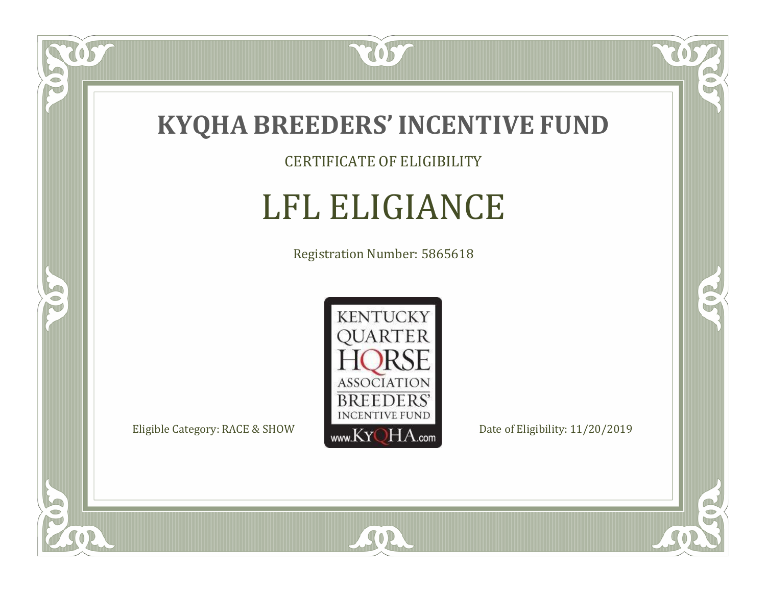

CERTIFICATE OF ELIGIBILITY

# LFL ELIGIANCE

Registration Number: 5865618



SOR

US

 $\bullet$ NU

5

CO.

 $\rightarrow$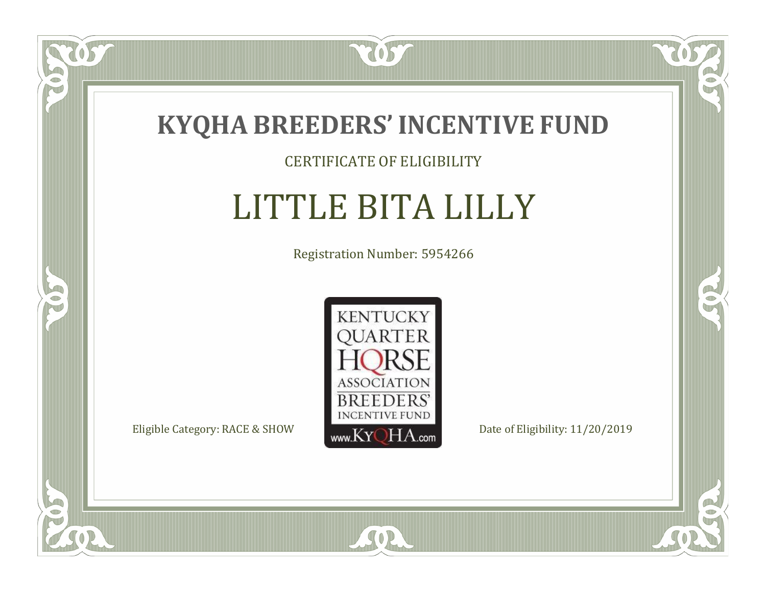

### CERTIFICATE OF ELIGIBILITY

# LITTLE BITA LILLY

Registration Number: 5954266



SOR

CO.

 $\rightarrow$ 

 $\overline{OS}$ 

 $\bullet$ NU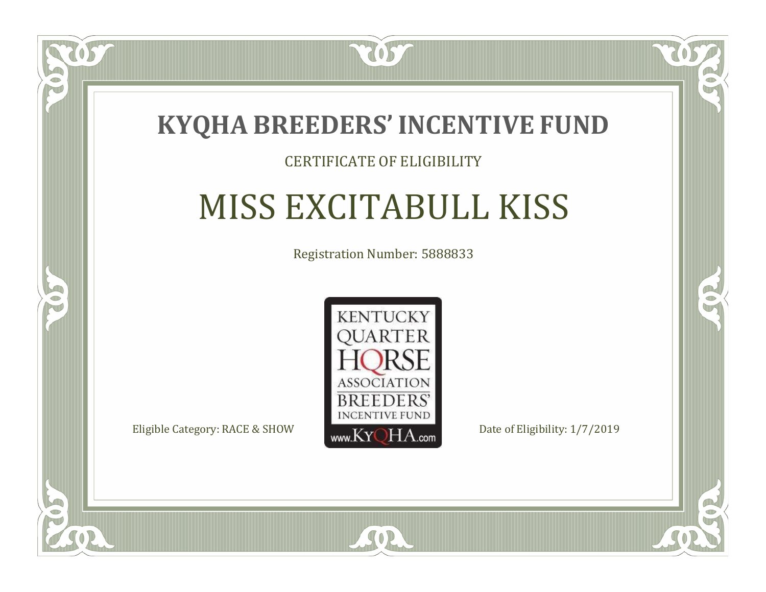

### CERTIFICATE OF ELIGIBILITY

# MISS EXCITABULL KISS

Registration Number: 5888833



SOR

RO

B

 $\Box$ N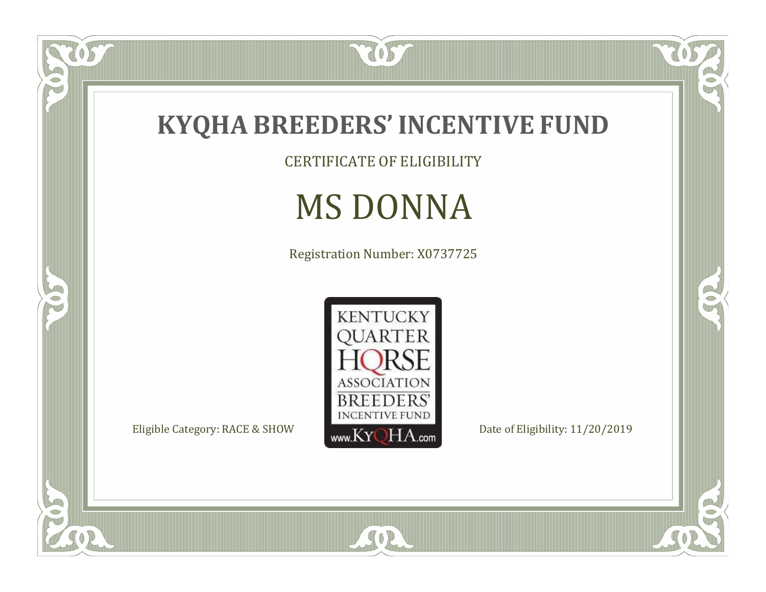

tos

 $\bullet$ N

5

CERTIFICATE OF ELIGIBILITY

# MS DONNA

Registration Number: X0737725



SOR

 $\mathbb{R}$ 

CO.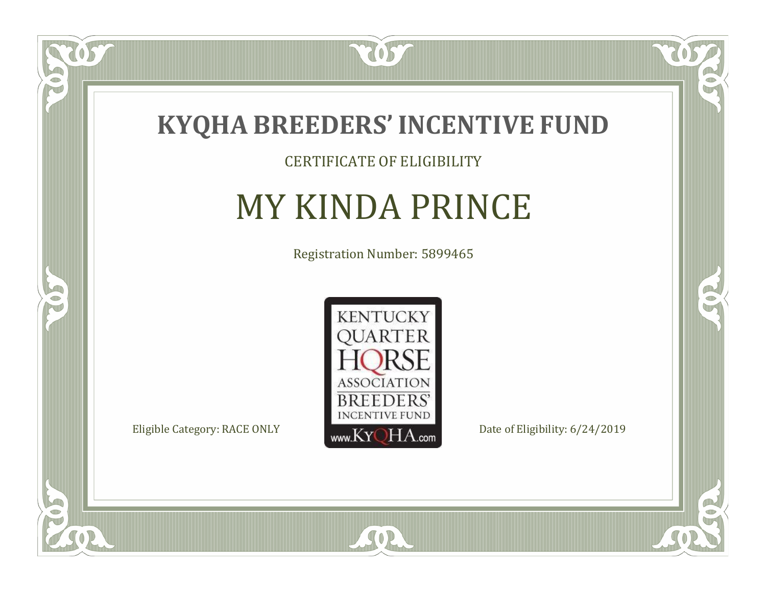

### CERTIFICATE OF ELIGIBILITY

### MY KINDA PRINCE

Registration Number: 5899465



SOR

 $\mathbb{R}$ 

R

 $\overline{OS}$ 

 $\bullet$ NU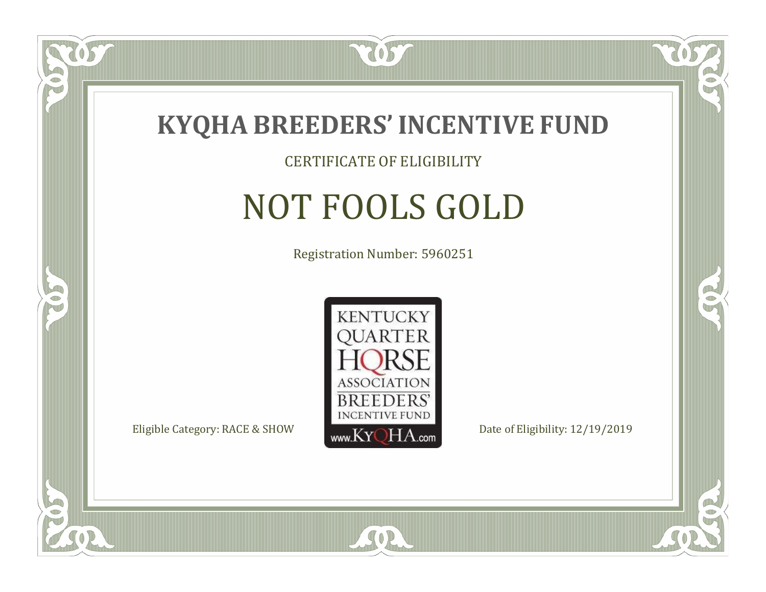

CERTIFICATE OF ELIGIBILITY

# NOT FOOLS GOLD

Registration Number: 5960251



SOR

RO

B

 $\Box$ N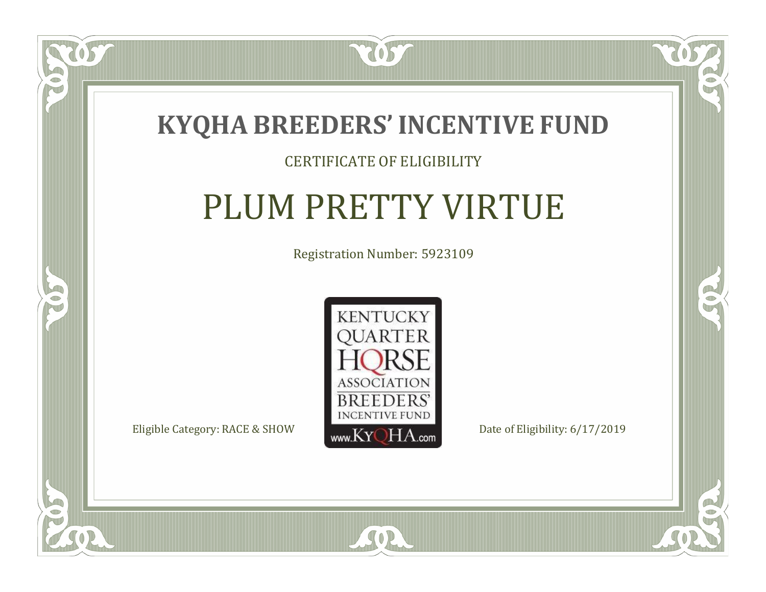

#### CERTIFICATE OF ELIGIBILITY

# PLUM PRETTY VIRTUE

Registration Number: 5923109



 $\mathbb{R}$ 

R

US

 $\bullet$ NU

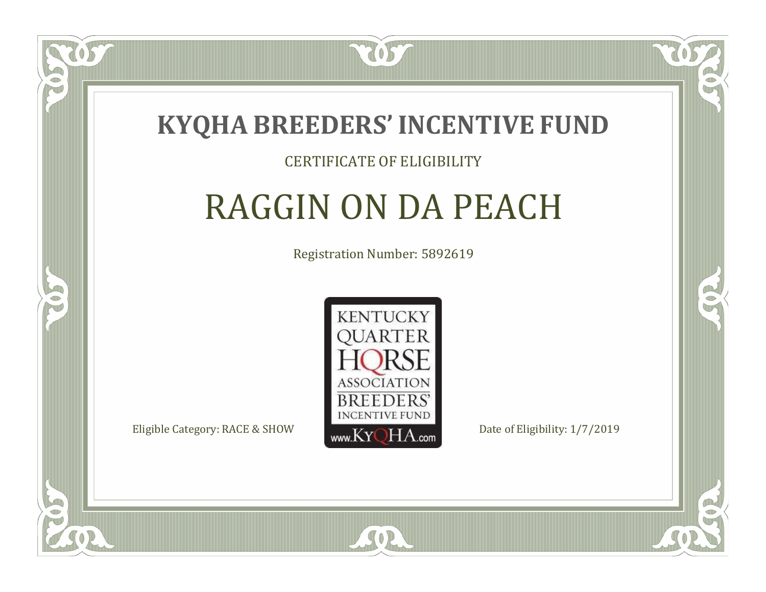

### CERTIFICATE OF ELIGIBILITY

# RAGGIN ON DA PEACH

Registration Number: 5892619



SOR

CO.

CO.

 $\Box$ N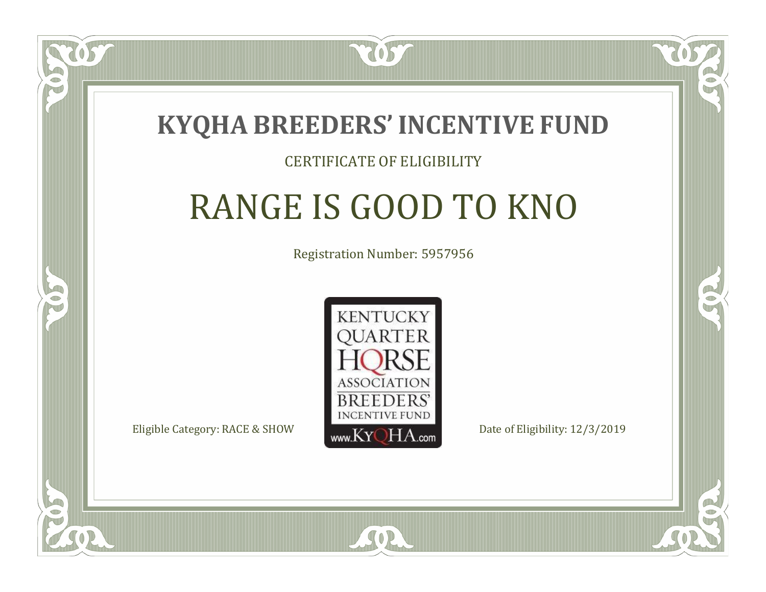

#### CERTIFICATE OF ELIGIBILITY

# RANGE IS GOOD TO KNO

Registration Number: 5957956



SOR

RO

P.

 $\Box$ T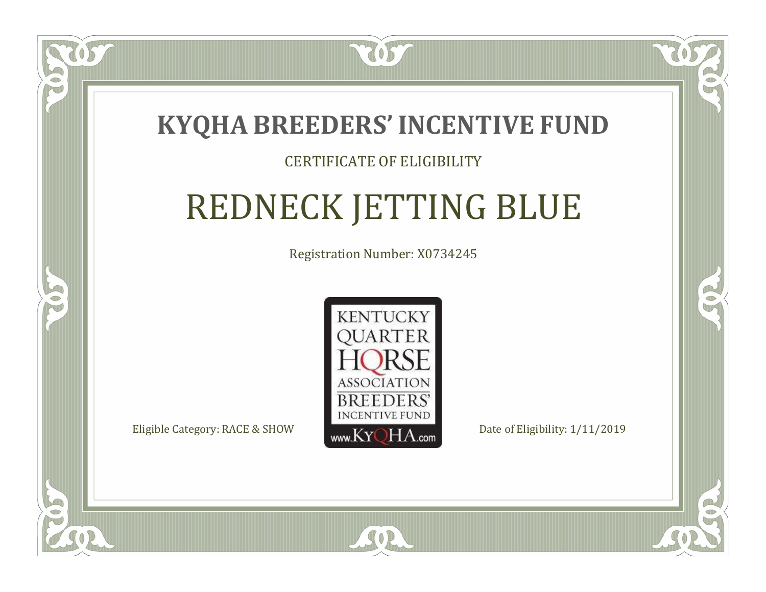

### CERTIFICATE OF ELIGIBILITY

# REDNECK JETTING BLUE

Registration Number: X0734245



 $SO<sub>2</sub>$ 

RO

B.

 $\Box$ N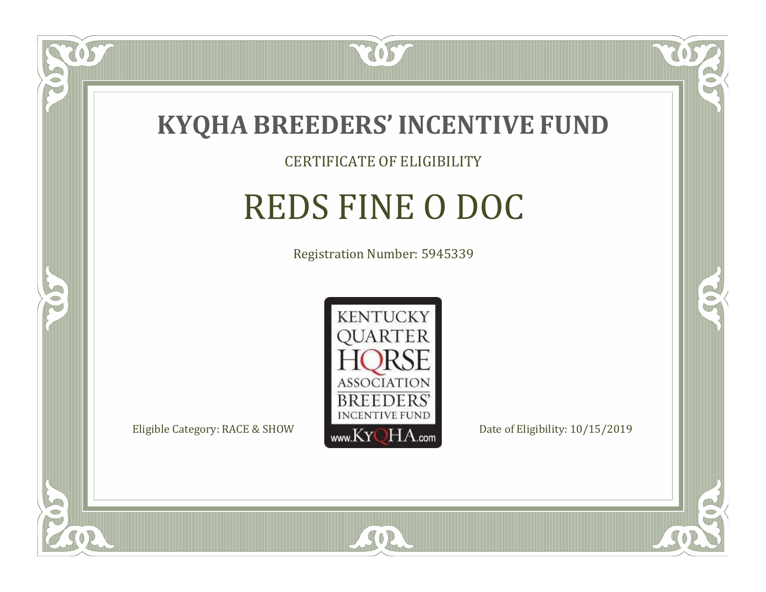

057

 $\Box$ NU

5

### CERTIFICATE OF ELIGIBILITY

# REDS FINE O DOC

Registration Number: 5945339



SOR

RO

B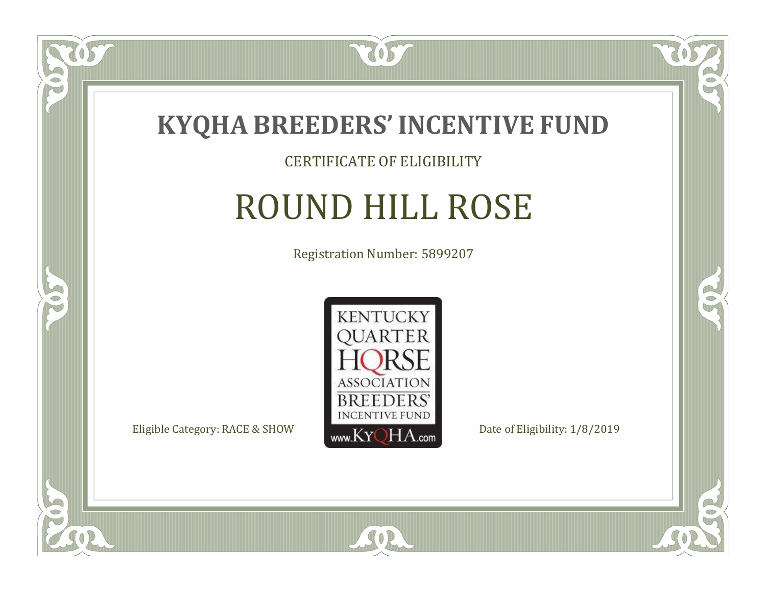

#### CERTIFICATE OF ELIGIBILITY

## ROUND HILL ROSE

Registration Number: 5899207



SOR

CO.

B

 $\delta S$ 

 $\bullet$ NU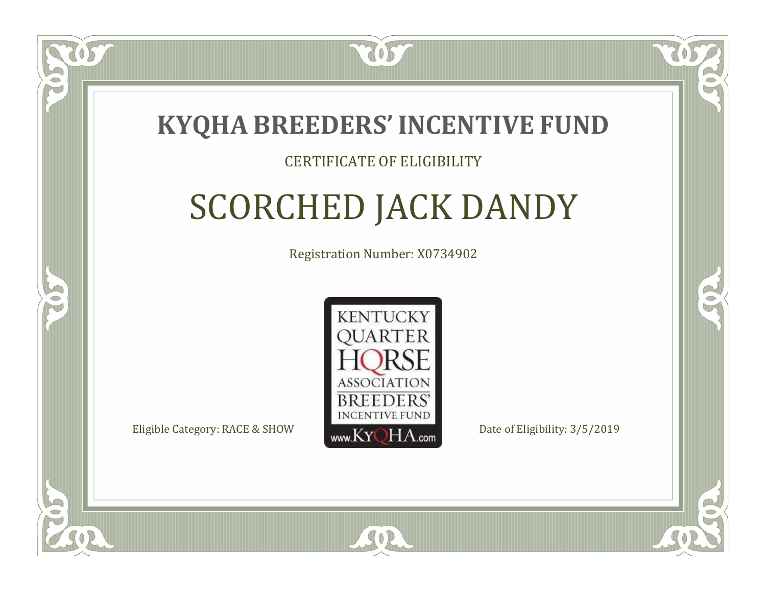

#### CERTIFICATE OF ELIGIBILITY

# SCORCHED JACK DANDY

Registration Number: X0734902



SOR

CO.

CO.

 $\Box$ N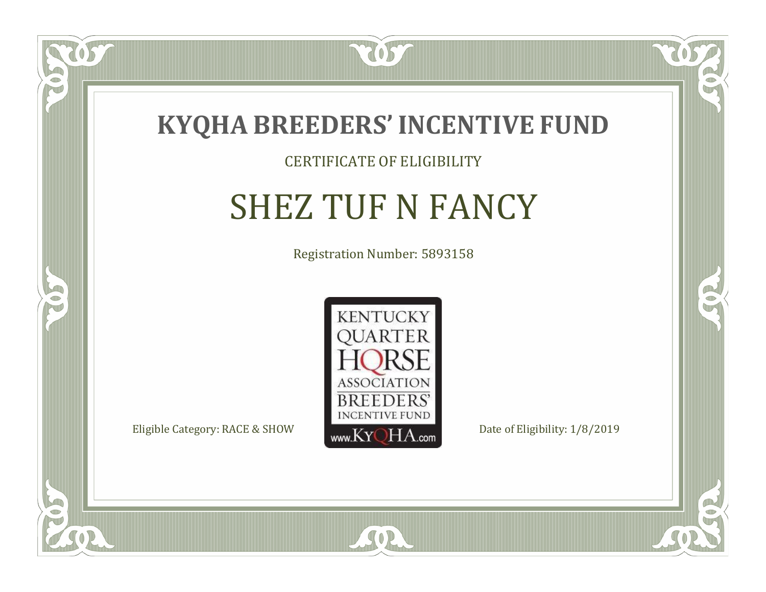

#### CERTIFICATE OF ELIGIBILITY

# SHEZ TUF N FANCY

Registration Number: 5893158



 $SO2$ 

CO.

 $\rightarrow$ 

OS,

 $\Box$ NU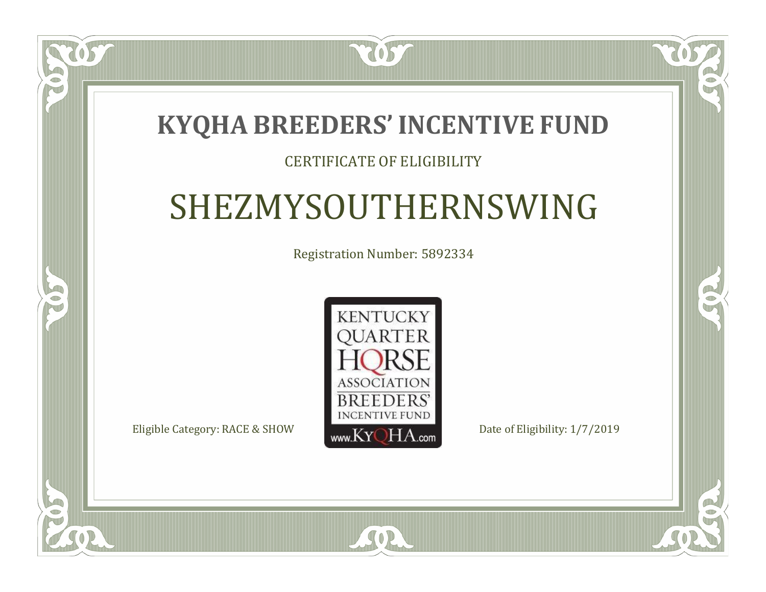### **KYQHA BREEDERS'INCENTIVE FUND**

7057

### CERTIFICATE OF ELIGIBILITY

## SHEZMYSOUTHERNSWING

Registration Number: 5892334



 $SO2$ 

CO.

 $\rightarrow$ 

 $\Box$ N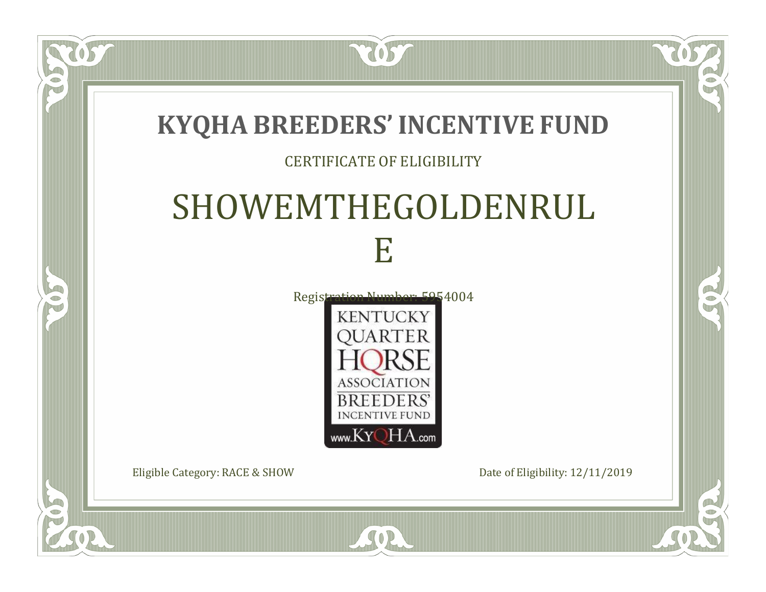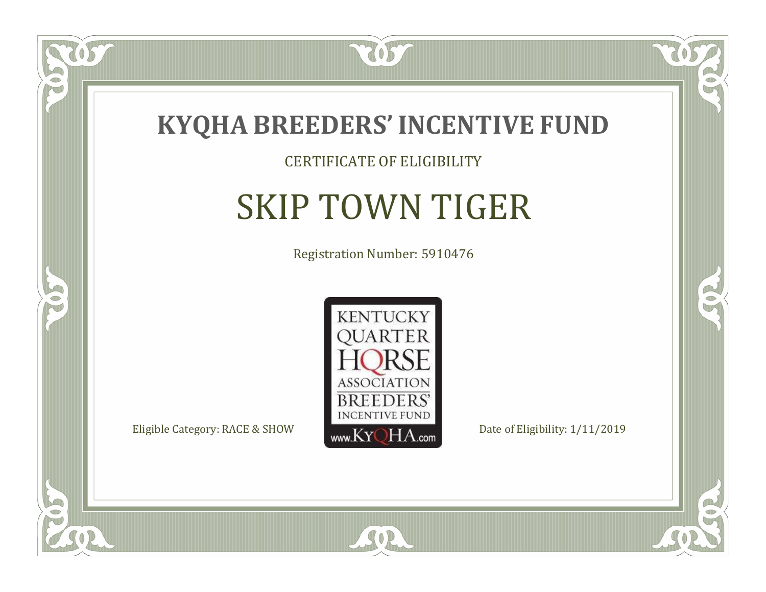

### CERTIFICATE OF ELIGIBILITY

# SKIP TOWN TIGER

Registration Number: 5910476



SOR

CO.

 $\rightarrow$ 

US

 $\bullet$ NU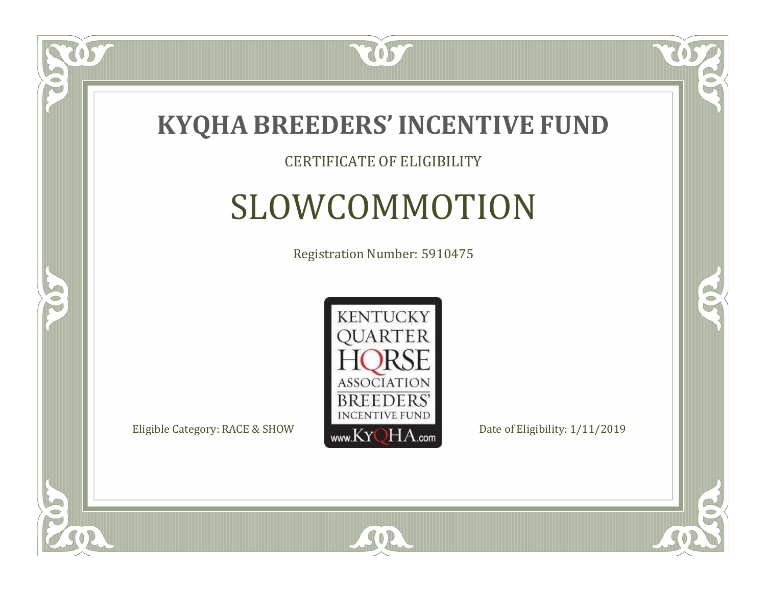

### CERTIFICATE OF ELIGIBILITY

# SLOWCOMMOTION

Registration Number: 5910475



SOR

CO.

 $\rightarrow$ 

 $\Box$ NU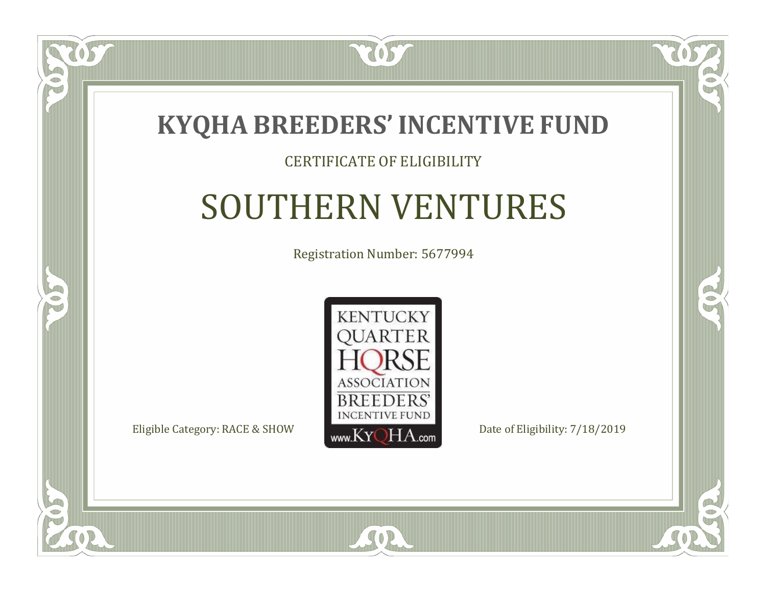

#### CERTIFICATE OF ELIGIBILITY

### SOUTHERN VENTURES

Registration Number: 5677994



SOR

 $\Box$ N

5

CO.

 $\rightarrow$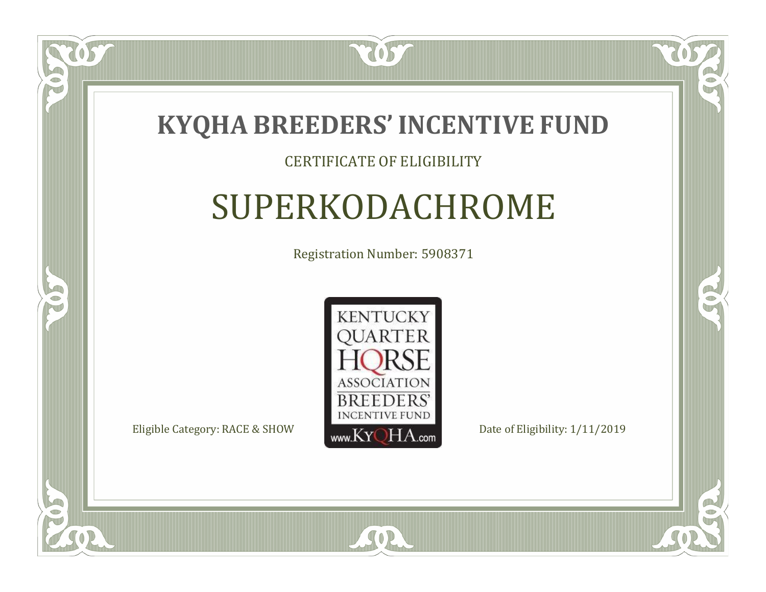

### CERTIFICATE OF ELIGIBILITY

# SUPERKODACHROME

Registration Number: 5908371



SOR

RO

B

 $\Box$ N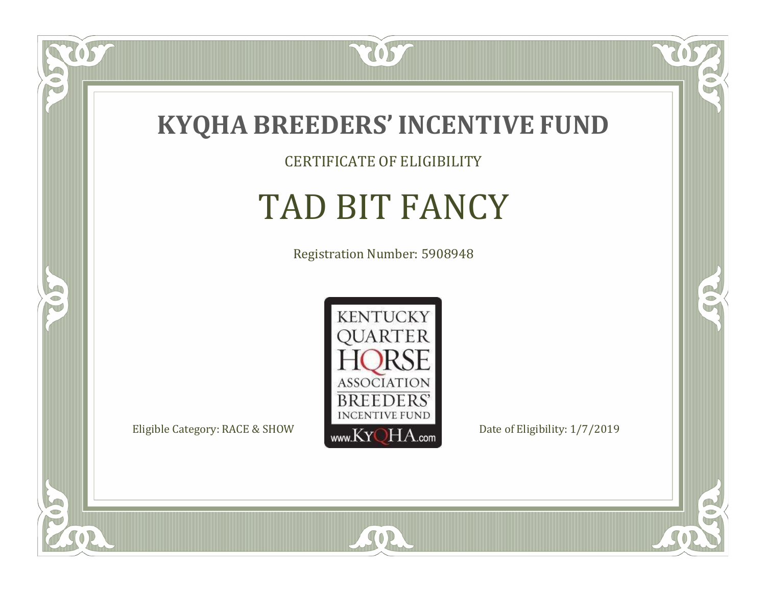

CERTIFICATE OF ELIGIBILITY

# TAD BIT FANCY

Registration Number: 5908948



SOR

 $\mathbb{R}$ 

 $\rightarrow$ 

 $\overline{OS}$ 

 $\bullet$ NU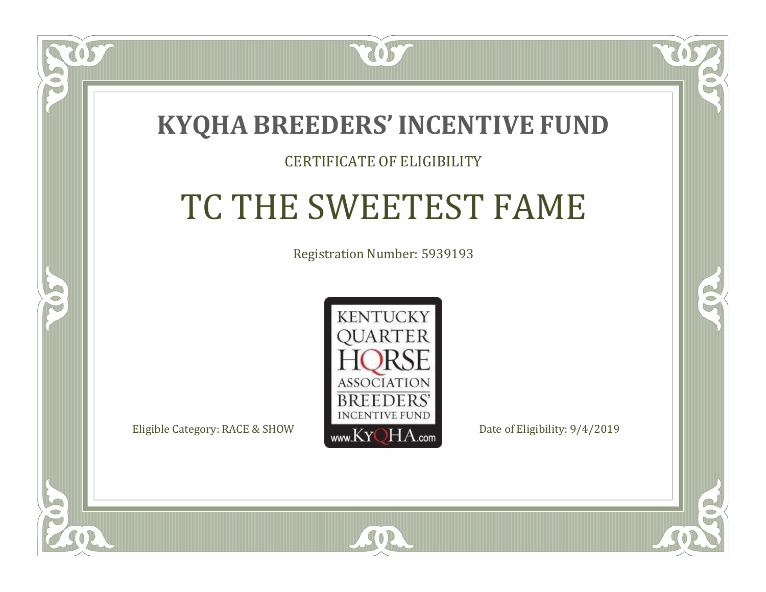### **KYQHA BREEDERS'INCENTIVE FUND**

7057

### CERTIFICATE OF ELIGIBILITY

# TC THE SWEETEST FAME

Registration Number: 5939193



SOR

CO.

 $\rightarrow$ 

 $\Box$ N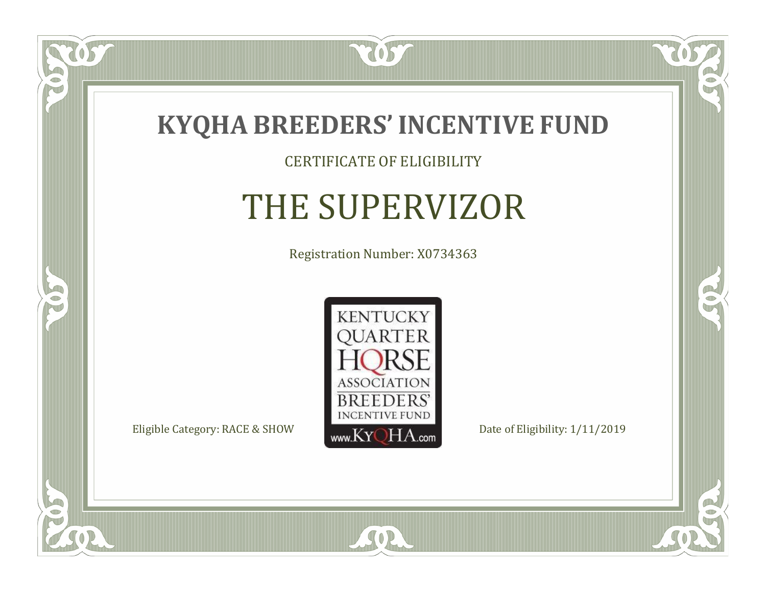

#### CERTIFICATE OF ELIGIBILITY

# THE SUPERVIZOR

Registration Number: X0734363



SOR

CO.

 $\rightarrow$ 

US

 $\bullet$ NU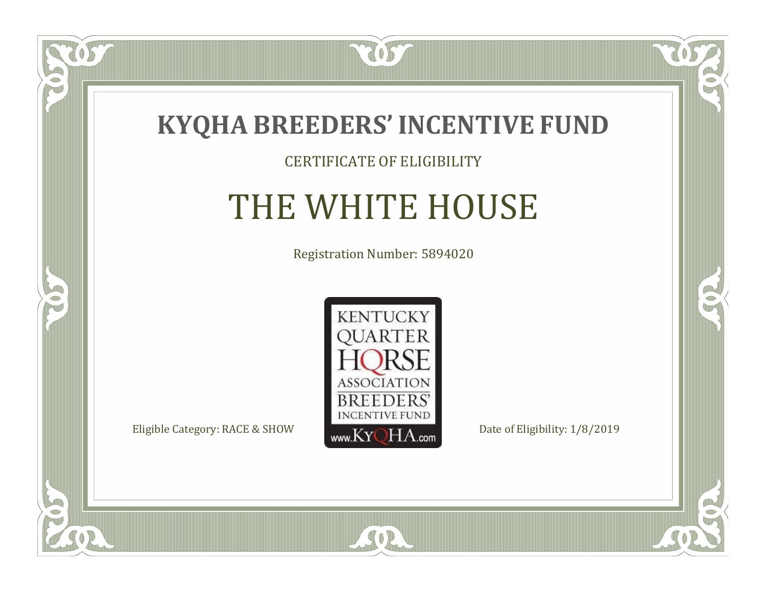

#### CERTIFICATE OF ELIGIBILITY

# THE WHITE HOUSE

Registration Number: 5894020



SOR

CO.

 $\rightarrow$ 

 $\overline{OS}$ 

 $\bullet$ NU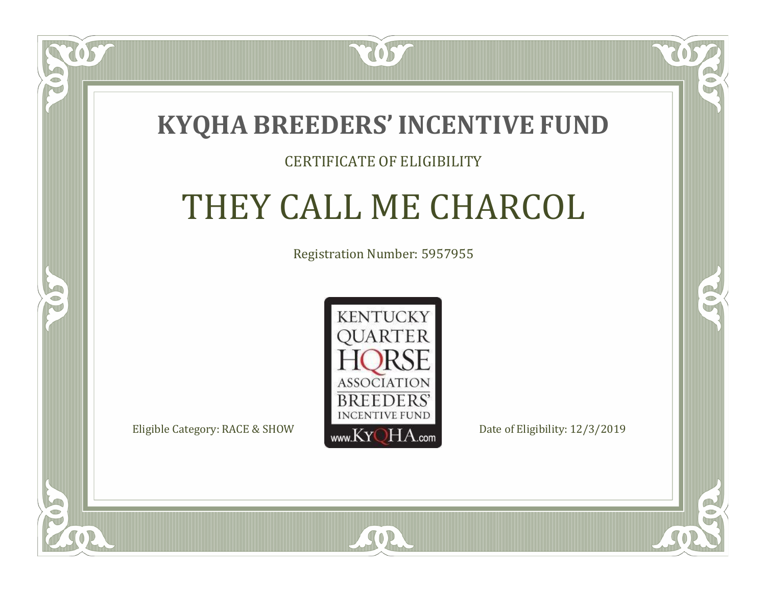

#### CERTIFICATE OF ELIGIBILITY

## THEY CALL ME CHARCOL

Registration Number: 5957955



SOR

RO

CO.

 $\Box$ N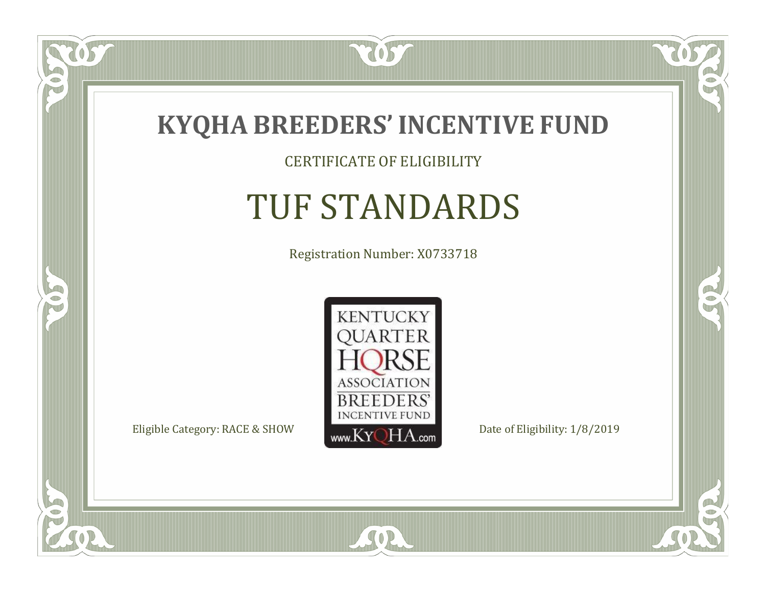

CERTIFICATE OF ELIGIBILITY

# TUF STANDARDS

Registration Number: X0733718



SOR

CO.

 $\rightarrow$ 

057

 $\bullet$ NU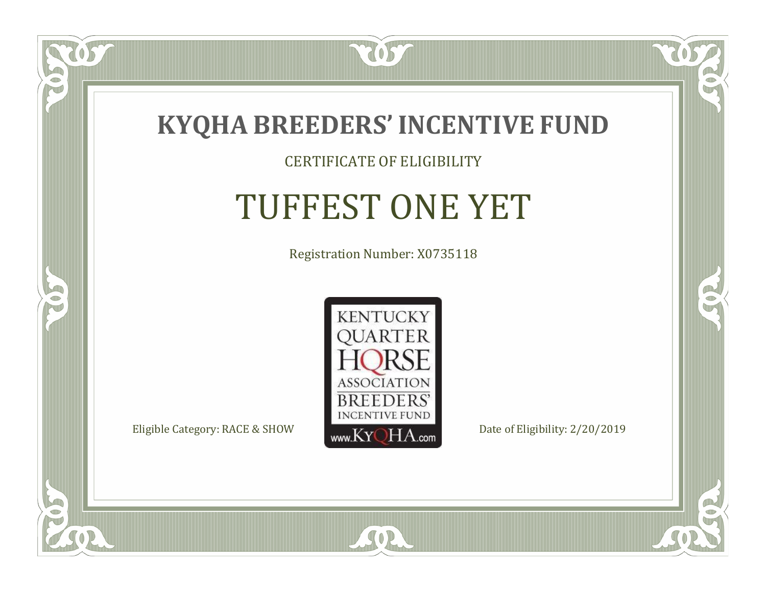

### CERTIFICATE OF ELIGIBILITY

# TUFFEST ONE YET

Registration Number: X0735118



SOR

CO.

 $\rightarrow$ 

 $\Box$ NU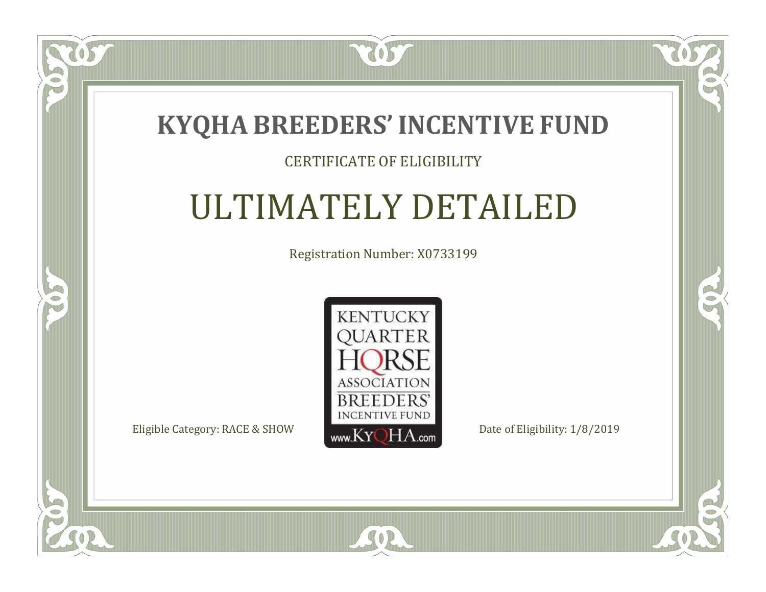

### CERTIFICATE OF ELIGIBILITY

# ULTIMATELY DETAILED

Registration Number: X0733199



 $SO2$ 

CO.

 $\rightarrow$ 

 $\delta S$ 

 $\bullet$ NU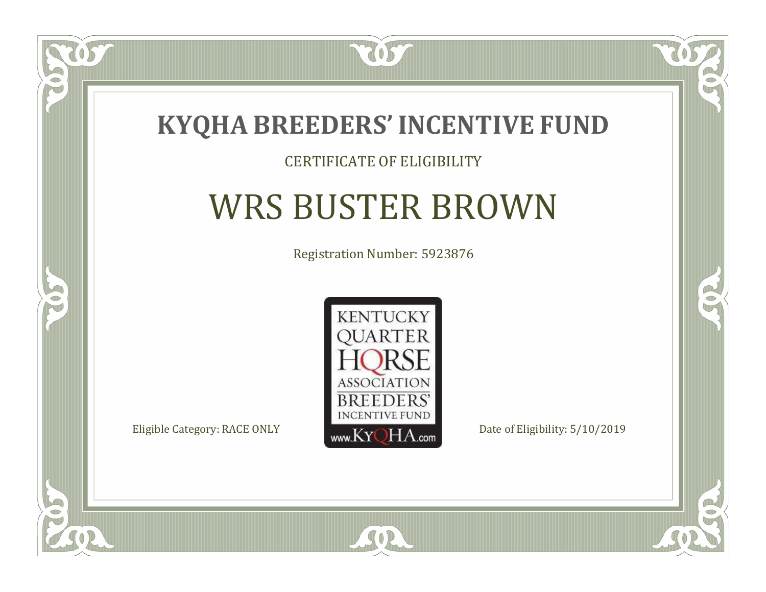

### CERTIFICATE OF ELIGIBILITY

# WRS BUSTER BROWN

Registration Number: 5923876



SOR

 $\mathbb{R}$ 

 $\rightarrow$ 

 $\delta S$ 

 $\Box$ NU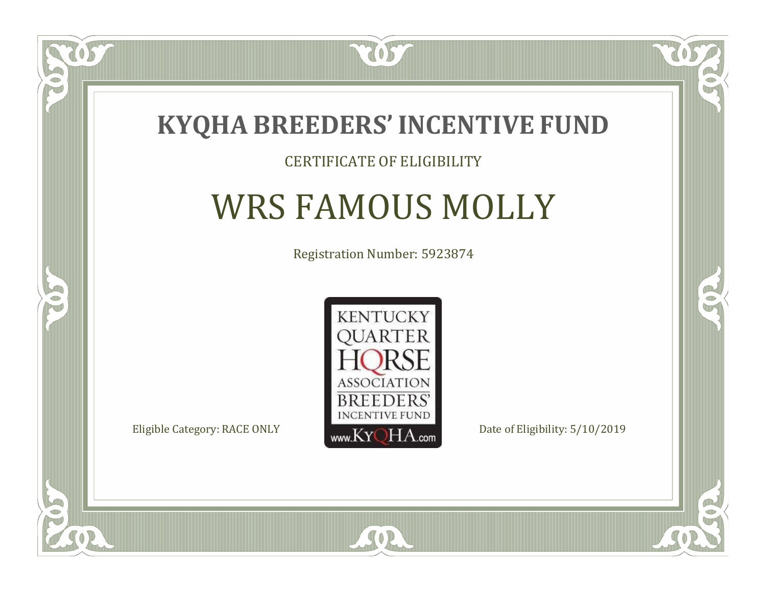

### CERTIFICATE OF ELIGIBILITY

# WRS FAMOUS MOLLY

Registration Number: 5923874



 $SO2$ 

CO.

 $\rightarrow$ 

US

 $\Box$ NU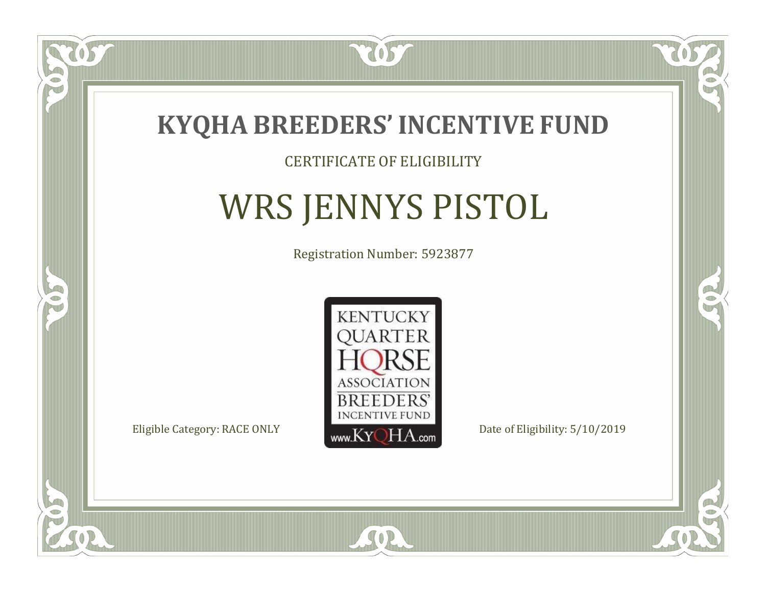

### CERTIFICATE OF ELIGIBILITY

# WRS JENNYS PISTOL

Registration Number: 5923877



SOR

 $\mathbb{R}$ 

 $\rightarrow$ 

 $\Box$ NU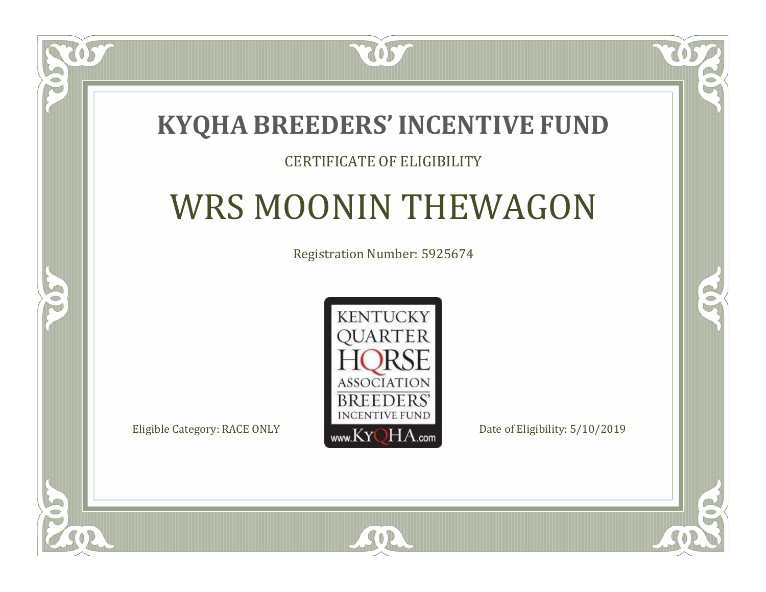### **KYQHA BREEDERS'INCENTIVE FUND**

7057

### CERTIFICATE OF ELIGIBILITY

# WRS MOONIN THEWAGON

Registration Number: 5925674



SOR

 $\mathbb{R}$ 

 $\rightarrow$ 

 $\Box$ N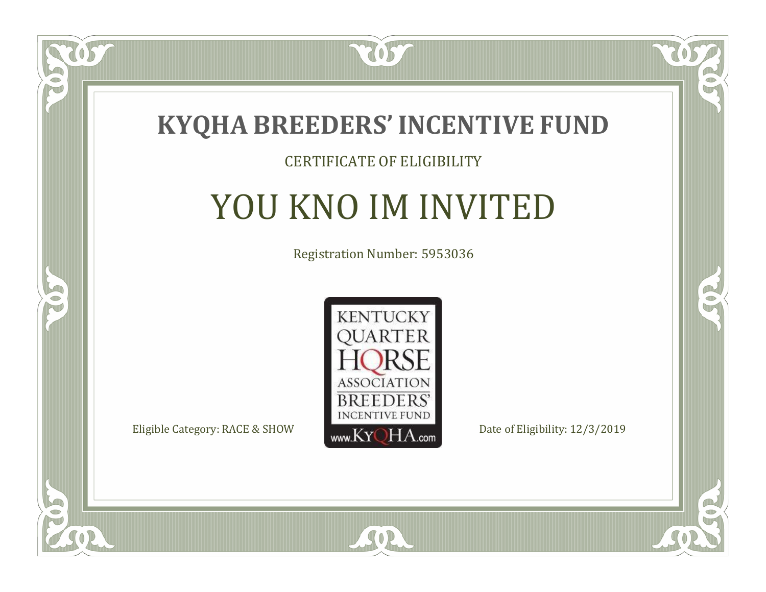

057

 $\Box$ NU

5

### CERTIFICATE OF ELIGIBILITY

# YOU KNO IM INVITED

Registration Number: 5953036



SOR

CO.

 $\rightarrow$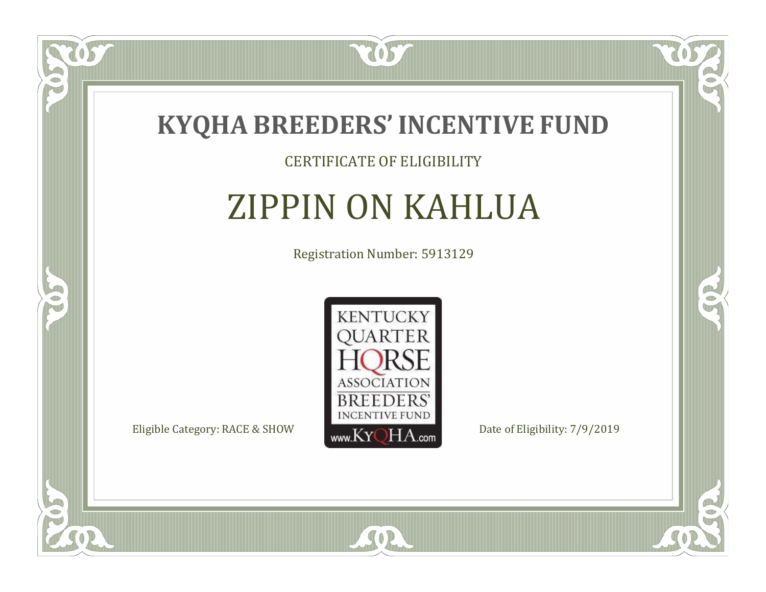

### CERTIFICATE OF ELIGIBILITY

# ZIPPIN ON KAHLUA

Registration Number: 5913129



SOR

CO.

 $\rightarrow$ 

US

 $\bullet$ NU